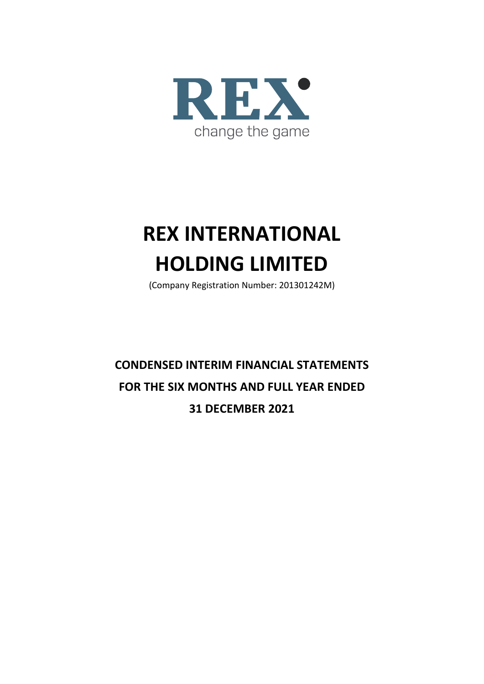

# **REX INTERNATIONAL HOLDING LIMITED**

(Company Registration Number: 201301242M)

**CONDENSED INTERIM FINANCIAL STATEMENTS FOR THE SIX MONTHS AND FULL YEAR ENDED 31 DECEMBER 2021**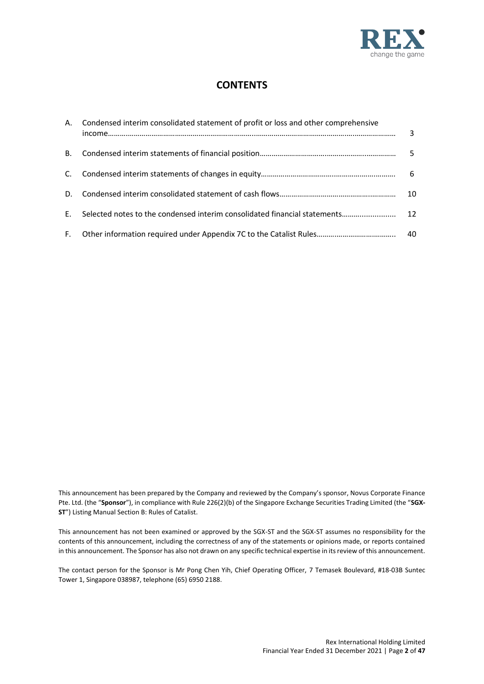

# **CONTENTS**

|           | A. Condensed interim consolidated statement of profit or loss and other comprehensive | 3               |
|-----------|---------------------------------------------------------------------------------------|-----------------|
| <b>B.</b> |                                                                                       | 5               |
|           |                                                                                       | 6               |
| D.        |                                                                                       | 10              |
| E.        | Selected notes to the condensed interim consolidated financial statements             | 12 <sup>1</sup> |
|           |                                                                                       | -40             |

This announcement has been prepared by the Company and reviewed by the Company's sponsor, Novus Corporate Finance Pte. Ltd. (the "**Sponsor**"), in compliance with Rule 226(2)(b) of the Singapore Exchange Securities Trading Limited (the "**SGX-ST**") Listing Manual Section B: Rules of Catalist.

This announcement has not been examined or approved by the SGX-ST and the SGX-ST assumes no responsibility for the contents of this announcement, including the correctness of any of the statements or opinions made, or reports contained in this announcement. The Sponsor has also not drawn on any specific technical expertise in its review of this announcement.

The contact person for the Sponsor is Mr Pong Chen Yih, Chief Operating Officer, 7 Temasek Boulevard, #18-03B Suntec Tower 1, Singapore 038987, telephone (65) 6950 2188.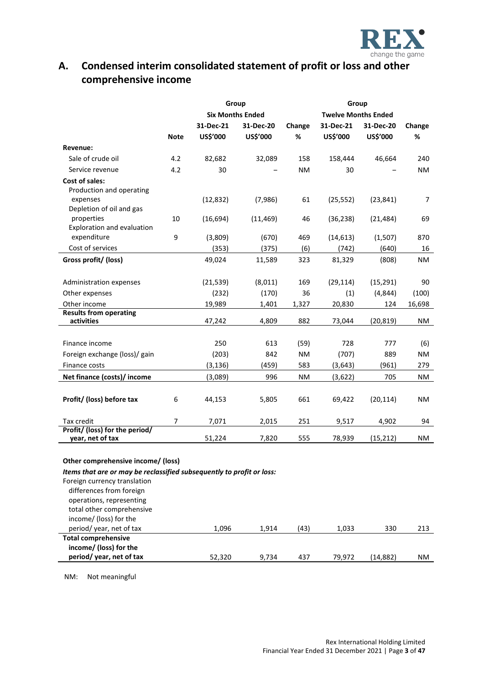

# **A. Condensed interim consolidated statement of profit or loss and other comprehensive income**

|                                                                                                                                                                                                                      |             |           | Group                   |           | Group                      |           |           |  |
|----------------------------------------------------------------------------------------------------------------------------------------------------------------------------------------------------------------------|-------------|-----------|-------------------------|-----------|----------------------------|-----------|-----------|--|
|                                                                                                                                                                                                                      |             |           | <b>Six Months Ended</b> |           | <b>Twelve Months Ended</b> |           |           |  |
|                                                                                                                                                                                                                      |             | 31-Dec-21 | 31-Dec-20               | Change    | 31-Dec-21                  | 31-Dec-20 | Change    |  |
|                                                                                                                                                                                                                      | <b>Note</b> | US\$'000  | US\$'000                | %         | US\$'000                   | US\$'000  | %         |  |
| Revenue:                                                                                                                                                                                                             |             |           |                         |           |                            |           |           |  |
| Sale of crude oil                                                                                                                                                                                                    | 4.2         | 82,682    | 32,089                  | 158       | 158,444                    | 46,664    | 240       |  |
| Service revenue                                                                                                                                                                                                      | 4.2         | 30        |                         | <b>NM</b> | 30                         |           | NM.       |  |
| <b>Cost of sales:</b><br>Production and operating                                                                                                                                                                    |             |           |                         |           |                            |           |           |  |
| expenses<br>Depletion of oil and gas                                                                                                                                                                                 |             | (12, 832) | (7,986)                 | 61        | (25, 552)                  | (23, 841) | 7         |  |
| properties<br>Exploration and evaluation                                                                                                                                                                             | 10          | (16, 694) | (11, 469)               | 46        | (36, 238)                  | (21, 484) | 69        |  |
| expenditure                                                                                                                                                                                                          | 9           | (3,809)   | (670)                   | 469       | (14, 613)                  | (1,507)   | 870       |  |
| Cost of services                                                                                                                                                                                                     |             | (353)     | (375)                   | (6)       | (742)                      | (640)     | 16        |  |
| Gross profit/ (loss)                                                                                                                                                                                                 |             | 49,024    | 11,589                  | 323       | 81,329                     | (808)     | <b>NM</b> |  |
| Administration expenses                                                                                                                                                                                              |             | (21, 539) | (8,011)                 | 169       | (29, 114)                  | (15, 291) | 90        |  |
| Other expenses                                                                                                                                                                                                       |             | (232)     | (170)                   | 36        | (1)                        | (4, 844)  | (100)     |  |
| Other income                                                                                                                                                                                                         |             | 19,989    | 1,401                   | 1,327     | 20,830                     | 124       | 16,698    |  |
| <b>Results from operating</b><br>activities                                                                                                                                                                          |             | 47,242    | 4,809                   | 882       | 73,044                     | (20, 819) | ΝM        |  |
|                                                                                                                                                                                                                      |             |           |                         |           |                            |           |           |  |
| Finance income                                                                                                                                                                                                       |             | 250       | 613                     | (59)      | 728                        | 777       | (6)       |  |
| Foreign exchange (loss)/ gain                                                                                                                                                                                        |             | (203)     | 842                     | <b>NM</b> | (707)                      | 889       | <b>NM</b> |  |
| Finance costs                                                                                                                                                                                                        |             | (3, 136)  | (459)                   | 583       | (3, 643)                   | (961)     | 279       |  |
| Net finance (costs)/ income                                                                                                                                                                                          |             | (3,089)   | 996                     | <b>NM</b> | (3,622)                    | 705       | ΝM        |  |
|                                                                                                                                                                                                                      |             |           |                         |           |                            |           |           |  |
| Profit/ (loss) before tax                                                                                                                                                                                            | 6           | 44,153    | 5,805                   | 661       | 69,422                     | (20, 114) | ΝM        |  |
| Tax credit                                                                                                                                                                                                           | 7           | 7,071     | 2,015                   | 251       | 9,517                      | 4,902     | 94        |  |
| Profit/ (loss) for the period/<br>year, net of tax                                                                                                                                                                   |             | 51,224    | 7,820                   | 555       | 78,939                     | (15, 212) | <b>NM</b> |  |
| Other comprehensive income/ (loss)                                                                                                                                                                                   |             |           |                         |           |                            |           |           |  |
| Items that are or may be reclassified subsequently to profit or loss:<br>Foreign currency translation<br>differences from foreign<br>operations, representing<br>total other comprehensive<br>income/ (loss) for the |             |           |                         |           |                            |           |           |  |
| period/year, net of tax                                                                                                                                                                                              |             | 1,096     | 1,914                   | (43)      | 1,033                      | 330       | 213       |  |
| <b>Total comprehensive</b>                                                                                                                                                                                           |             |           |                         |           |                            |           |           |  |
| income/ (loss) for the<br>period/year, net of tax                                                                                                                                                                    |             | 52,320    | 9,734                   | 437       | 79,972                     | (14, 882) | NM        |  |
|                                                                                                                                                                                                                      |             |           |                         |           |                            |           |           |  |

NM: Not meaningful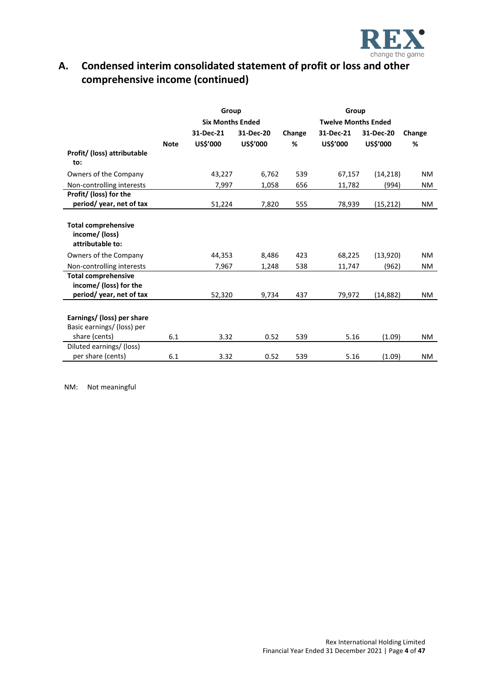

# **A. Condensed interim consolidated statement of profit or loss and other comprehensive income (continued)**

|                                                                  |             | Group                   |           |        | Group                      |           |           |  |
|------------------------------------------------------------------|-------------|-------------------------|-----------|--------|----------------------------|-----------|-----------|--|
|                                                                  |             | <b>Six Months Ended</b> |           |        | <b>Twelve Months Ended</b> |           |           |  |
|                                                                  |             | 31-Dec-21               | 31-Dec-20 | Change | 31-Dec-21                  | Change    |           |  |
|                                                                  | <b>Note</b> | US\$'000                | US\$'000  | %      | US\$'000                   | US\$'000  | %         |  |
| Profit/ (loss) attributable<br>to:                               |             |                         |           |        |                            |           |           |  |
| Owners of the Company                                            |             | 43,227                  | 6,762     | 539    | 67,157                     | (14, 218) | NM.       |  |
| Non-controlling interests                                        |             | 7,997                   | 1,058     | 656    | 11,782                     | (994)     | NM.       |  |
| Profit/ (loss) for the<br>period/year, net of tax                |             | 51,224                  | 7,820     | 555    | 78,939                     | (15, 212) | NM.       |  |
|                                                                  |             |                         |           |        |                            |           |           |  |
| <b>Total comprehensive</b><br>income/ (loss)<br>attributable to: |             |                         |           |        |                            |           |           |  |
| Owners of the Company                                            |             | 44,353                  | 8,486     | 423    | 68,225                     | (13,920)  | <b>NM</b> |  |
| Non-controlling interests                                        |             | 7,967                   | 1,248     | 538    | 11,747                     | (962)     | NM        |  |
| <b>Total comprehensive</b><br>income/ (loss) for the             |             |                         |           |        |                            |           |           |  |
| period/year, net of tax                                          |             | 52,320                  | 9,734     | 437    | 79,972                     | (14, 882) | NM.       |  |
| Earnings/ (loss) per share<br>Basic earnings/ (loss) per         |             |                         |           |        |                            |           |           |  |
| share (cents)                                                    | 6.1         | 3.32                    | 0.52      | 539    | 5.16                       | (1.09)    | NM.       |  |
| Diluted earnings/ (loss)<br>per share (cents)                    | 6.1         | 3.32                    | 0.52      | 539    | 5.16                       | (1.09)    | NM.       |  |

NM: Not meaningful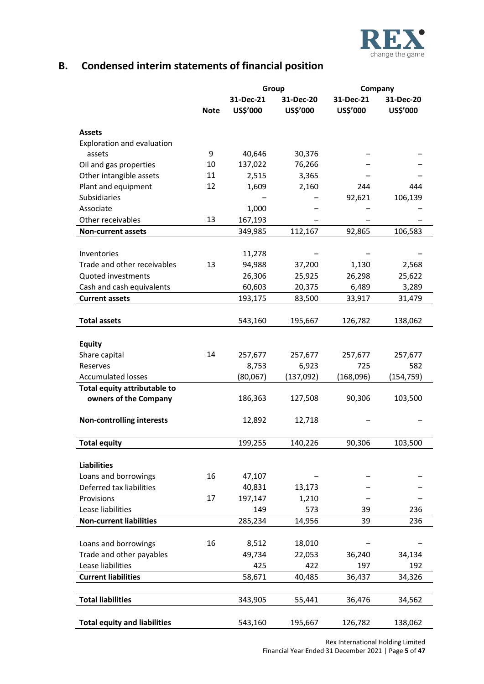

# **B. Condensed interim statements of financial position**

|                                     |             | Group                 |                       | Company               |                       |  |
|-------------------------------------|-------------|-----------------------|-----------------------|-----------------------|-----------------------|--|
|                                     | <b>Note</b> | 31-Dec-21<br>US\$'000 | 31-Dec-20<br>US\$'000 | 31-Dec-21<br>US\$'000 | 31-Dec-20<br>US\$'000 |  |
| <b>Assets</b>                       |             |                       |                       |                       |                       |  |
| Exploration and evaluation          |             |                       |                       |                       |                       |  |
| assets                              | 9           | 40,646                | 30,376                |                       |                       |  |
| Oil and gas properties              | 10          | 137,022               | 76,266                |                       |                       |  |
| Other intangible assets             | 11          | 2,515                 | 3,365                 |                       |                       |  |
| Plant and equipment                 | 12          | 1,609                 | 2,160                 | 244                   | 444                   |  |
| <b>Subsidiaries</b>                 |             |                       |                       | 92,621                | 106,139               |  |
| Associate                           |             | 1,000                 |                       |                       |                       |  |
| Other receivables                   | 13          | 167,193               |                       |                       |                       |  |
| <b>Non-current assets</b>           |             | 349,985               | 112,167               | 92,865                | 106,583               |  |
|                                     |             |                       |                       |                       |                       |  |
| Inventories                         |             | 11,278                |                       |                       |                       |  |
| Trade and other receivables         | 13          | 94,988                | 37,200                | 1,130                 | 2,568                 |  |
| Quoted investments                  |             | 26,306                | 25,925                | 26,298                | 25,622                |  |
| Cash and cash equivalents           |             | 60,603                | 20,375                | 6,489                 | 3,289                 |  |
| <b>Current assets</b>               |             | 193,175               | 83,500                | 33,917                | 31,479                |  |
|                                     |             |                       |                       |                       |                       |  |
| <b>Total assets</b>                 |             | 543,160               | 195,667               | 126,782               | 138,062               |  |
|                                     |             |                       |                       |                       |                       |  |
| <b>Equity</b>                       |             |                       |                       |                       |                       |  |
| Share capital                       | 14          | 257,677               | 257,677               | 257,677               | 257,677               |  |
| Reserves                            |             | 8,753                 | 6,923                 | 725                   | 582                   |  |
| <b>Accumulated losses</b>           |             | (80,067)              | (137,092)             | (168,096)             | (154, 759)            |  |
| Total equity attributable to        |             |                       |                       |                       |                       |  |
| owners of the Company               |             | 186,363               | 127,508               | 90,306                | 103,500               |  |
| <b>Non-controlling interests</b>    |             | 12,892                | 12,718                |                       |                       |  |
| <b>Total equity</b>                 |             | 199,255               | 140,226               | 90,306                | 103,500               |  |
|                                     |             |                       |                       |                       |                       |  |
| <b>Liabilities</b>                  |             |                       |                       |                       |                       |  |
| Loans and borrowings                | 16          | 47,107                |                       |                       |                       |  |
| Deferred tax liabilities            |             | 40,831                | 13,173                |                       |                       |  |
| Provisions                          | 17          | 197,147               | 1,210                 |                       |                       |  |
| Lease liabilities                   |             | 149                   | 573                   | 39                    | 236                   |  |
| <b>Non-current liabilities</b>      |             | 285,234               | 14,956                | 39                    | 236                   |  |
|                                     |             |                       |                       |                       |                       |  |
| Loans and borrowings                | 16          | 8,512                 | 18,010                |                       |                       |  |
| Trade and other payables            |             | 49,734                | 22,053                | 36,240                | 34,134                |  |
| Lease liabilities                   |             | 425                   | 422                   | 197                   | 192                   |  |
| <b>Current liabilities</b>          |             | 58,671                | 40,485                | 36,437                | 34,326                |  |
|                                     |             |                       |                       |                       |                       |  |
| <b>Total liabilities</b>            |             | 343,905               | 55,441                | 36,476                | 34,562                |  |
|                                     |             |                       |                       |                       |                       |  |
| <b>Total equity and liabilities</b> |             | 543,160               | 195,667               | 126,782               | 138,062               |  |

Rex International Holding Limited Financial Year Ended 31 December 2021 | Page **5** of **47**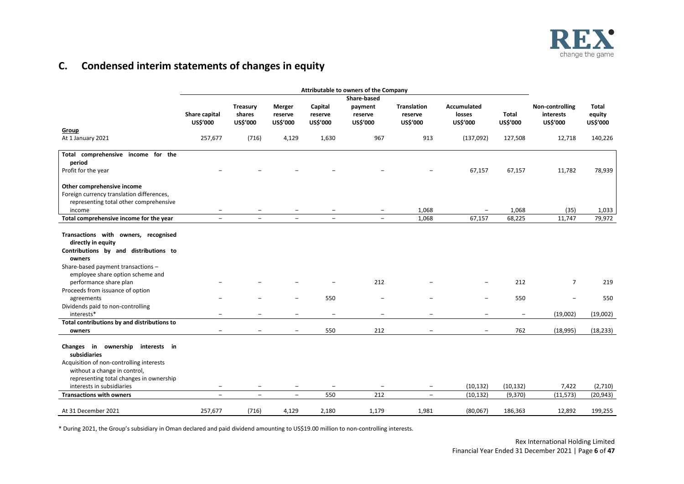

# **C. Condensed interim statements of changes in equity**

|                                                                                                                                                                                                                                                                                                                        | Attributable to owners of the Company |                                       |                                               |                                 |                                 |                                               |                                                      |                                        |                                          |                             |
|------------------------------------------------------------------------------------------------------------------------------------------------------------------------------------------------------------------------------------------------------------------------------------------------------------------------|---------------------------------------|---------------------------------------|-----------------------------------------------|---------------------------------|---------------------------------|-----------------------------------------------|------------------------------------------------------|----------------------------------------|------------------------------------------|-----------------------------|
|                                                                                                                                                                                                                                                                                                                        |                                       | Share-based                           |                                               |                                 |                                 |                                               |                                                      |                                        |                                          |                             |
|                                                                                                                                                                                                                                                                                                                        | Share capital<br>US\$'000             | <b>Treasury</b><br>shares<br>US\$'000 | Merger<br>reserve<br>US\$'000                 | Capital<br>reserve<br>US\$'000  | payment<br>reserve<br>US\$'000  | <b>Translation</b><br>reserve<br>US\$'000     | Accumulated<br>losses<br>US\$'000                    | Total<br>US\$'000                      | Non-controlling<br>interests<br>US\$'000 | Total<br>equity<br>US\$'000 |
| Group                                                                                                                                                                                                                                                                                                                  |                                       |                                       |                                               |                                 |                                 |                                               |                                                      |                                        |                                          |                             |
| At 1 January 2021                                                                                                                                                                                                                                                                                                      | 257,677                               | (716)                                 | 4,129                                         | 1,630                           | 967                             | 913                                           | (137,092)                                            | 127,508                                | 12,718                                   | 140,226                     |
| Total comprehensive income for the<br>period                                                                                                                                                                                                                                                                           |                                       |                                       |                                               |                                 |                                 |                                               |                                                      |                                        |                                          |                             |
| Profit for the year                                                                                                                                                                                                                                                                                                    |                                       |                                       |                                               |                                 |                                 |                                               | 67,157                                               | 67,157                                 | 11,782                                   | 78,939                      |
| Other comprehensive income<br>Foreign currency translation differences,<br>representing total other comprehensive<br>income                                                                                                                                                                                            | $\overline{\phantom{a}}$              |                                       |                                               |                                 | $\qquad \qquad -$               | 1,068                                         |                                                      | 1,068                                  | (35)                                     | 1,033                       |
| Total comprehensive income for the year                                                                                                                                                                                                                                                                                | $\overline{\phantom{a}}$              | $\overline{\phantom{0}}$              | $\overline{\phantom{a}}$                      | $\overline{\phantom{a}}$        | $\overline{\phantom{0}}$        | 1,068                                         | 67,157                                               | 68,225                                 | 11,747                                   | 79,972                      |
| Transactions with owners, recognised<br>directly in equity<br>Contributions by and distributions to<br>owners<br>Share-based payment transactions -<br>employee share option scheme and<br>performance share plan<br>Proceeds from issuance of option<br>agreements<br>Dividends paid to non-controlling<br>interests* | $\overline{\phantom{0}}$              |                                       | $\qquad \qquad$                               | 550<br>$\overline{\phantom{0}}$ | 212<br>$\overline{\phantom{0}}$ | $\overline{\phantom{0}}$                      | $\overline{\phantom{0}}$<br>$\overline{\phantom{a}}$ | 212<br>550<br>$\overline{\phantom{m}}$ | $\overline{7}$<br>(19,002)               | 219<br>550<br>(19,002)      |
| Total contributions by and distributions to                                                                                                                                                                                                                                                                            |                                       |                                       |                                               |                                 |                                 |                                               |                                                      |                                        |                                          |                             |
| owners<br>Changes in ownership interests in<br>subsidiaries<br>Acquisition of non-controlling interests<br>without a change in control,<br>representing total changes in ownership<br>interests in subsidiaries                                                                                                        | $\qquad \qquad -$                     | $\qquad \qquad -$                     | $\overline{\phantom{0}}$<br>$\qquad \qquad -$ | 550<br>$\overline{\phantom{m}}$ | 212<br>$\overline{\phantom{m}}$ | $\overline{\phantom{0}}$<br>$\qquad \qquad -$ | -<br>(10, 132)                                       | 762<br>(10, 132)                       | (18,995)<br>7,422                        | (18, 233)<br>(2,710)        |
| <b>Transactions with owners</b>                                                                                                                                                                                                                                                                                        | $\overline{\phantom{a}}$              | $\overline{\phantom{m}}$              | $\overline{\phantom{m}}$                      | 550                             | 212                             | $-$                                           | (10, 132)                                            | (9,370)                                | (11, 573)                                | (20, 943)                   |
| At 31 December 2021                                                                                                                                                                                                                                                                                                    | 257,677                               | (716)                                 | 4,129                                         | 2,180                           | 1,179                           | 1,981                                         | (80,067)                                             | 186,363                                | 12,892                                   | 199,255                     |

\* During 2021, the Group's subsidiary in Oman declared and paid dividend amounting to US\$19.00 million to non-controlling interests.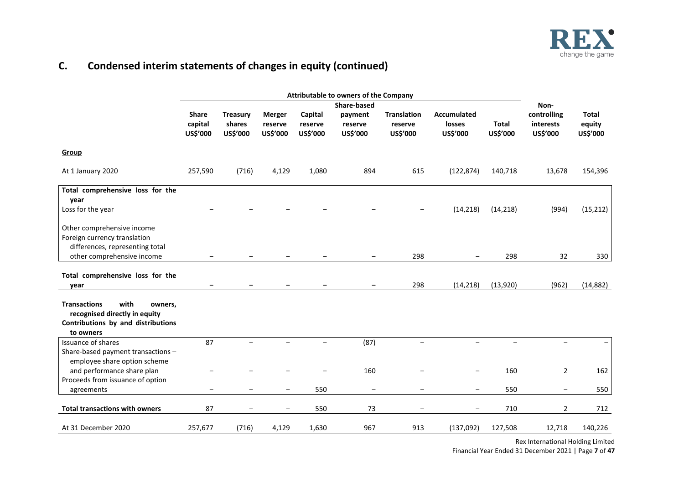

# **C. Condensed interim statements of changes in equity (continued)**

|                                                                                                                            | Attributable to owners of the Company |                                       |                                      |                                |                                |                                           |                                          |                          |                                      |                                    |
|----------------------------------------------------------------------------------------------------------------------------|---------------------------------------|---------------------------------------|--------------------------------------|--------------------------------|--------------------------------|-------------------------------------------|------------------------------------------|--------------------------|--------------------------------------|------------------------------------|
|                                                                                                                            |                                       |                                       |                                      |                                | <b>Share-based</b>             |                                           |                                          |                          | Non-                                 |                                    |
|                                                                                                                            | <b>Share</b><br>capital<br>US\$'000   | <b>Treasury</b><br>shares<br>US\$'000 | <b>Merger</b><br>reserve<br>US\$'000 | Capital<br>reserve<br>US\$'000 | payment<br>reserve<br>US\$'000 | <b>Translation</b><br>reserve<br>US\$'000 | <b>Accumulated</b><br>losses<br>US\$'000 | <b>Total</b><br>US\$'000 | controlling<br>interests<br>US\$'000 | <b>Total</b><br>equity<br>US\$'000 |
| Group                                                                                                                      |                                       |                                       |                                      |                                |                                |                                           |                                          |                          |                                      |                                    |
| At 1 January 2020                                                                                                          | 257,590                               | (716)                                 | 4,129                                | 1,080                          | 894                            | 615                                       | (122, 874)                               | 140,718                  | 13,678                               | 154,396                            |
| Total comprehensive loss for the                                                                                           |                                       |                                       |                                      |                                |                                |                                           |                                          |                          |                                      |                                    |
| year                                                                                                                       |                                       |                                       |                                      |                                |                                |                                           |                                          |                          |                                      |                                    |
| Loss for the year                                                                                                          |                                       |                                       |                                      |                                |                                |                                           | (14, 218)                                | (14, 218)                | (994)                                | (15, 212)                          |
| Other comprehensive income                                                                                                 |                                       |                                       |                                      |                                |                                |                                           |                                          |                          |                                      |                                    |
| Foreign currency translation                                                                                               |                                       |                                       |                                      |                                |                                |                                           |                                          |                          |                                      |                                    |
| differences, representing total                                                                                            |                                       |                                       |                                      |                                |                                |                                           |                                          |                          |                                      |                                    |
| other comprehensive income                                                                                                 |                                       |                                       |                                      |                                |                                | 298                                       |                                          | 298                      | 32                                   | 330                                |
|                                                                                                                            |                                       |                                       |                                      |                                |                                |                                           |                                          |                          |                                      |                                    |
| Total comprehensive loss for the                                                                                           |                                       |                                       |                                      |                                |                                |                                           |                                          |                          |                                      |                                    |
| vear                                                                                                                       | $\overline{\phantom{m}}$              | $\overline{\phantom{m}}$              |                                      |                                | $\overline{\phantom{m}}$       | 298                                       | (14, 218)                                | (13,920)                 | (962)                                | (14, 882)                          |
|                                                                                                                            |                                       |                                       |                                      |                                |                                |                                           |                                          |                          |                                      |                                    |
| <b>Transactions</b><br>with<br>owners,<br>recognised directly in equity<br>Contributions by and distributions<br>to owners |                                       |                                       |                                      |                                |                                |                                           |                                          |                          |                                      |                                    |
| Issuance of shares                                                                                                         | 87                                    |                                       |                                      |                                | (87)                           |                                           |                                          |                          | $\equiv$                             |                                    |
| Share-based payment transactions -<br>employee share option scheme                                                         |                                       |                                       |                                      |                                |                                |                                           |                                          |                          |                                      |                                    |
| and performance share plan                                                                                                 |                                       |                                       |                                      |                                | 160                            |                                           |                                          | 160                      | $\overline{2}$                       | 162                                |
| Proceeds from issuance of option                                                                                           |                                       |                                       |                                      |                                |                                |                                           |                                          |                          |                                      |                                    |
| agreements                                                                                                                 |                                       |                                       |                                      | 550                            | $\qquad \qquad -$              |                                           |                                          | 550                      | $\overline{\phantom{m}}$             | 550                                |
| <b>Total transactions with owners</b>                                                                                      | 87                                    |                                       |                                      | 550                            | 73                             |                                           |                                          | 710                      | $\overline{2}$                       | 712                                |
| At 31 December 2020                                                                                                        | 257,677                               | (716)                                 | 4,129                                | 1,630                          | 967                            | 913                                       | (137,092)                                | 127,508                  | 12,718                               | 140,226                            |

Rex International Holding Limited Financial Year Ended 31 December 2021 | Page **7** of **47**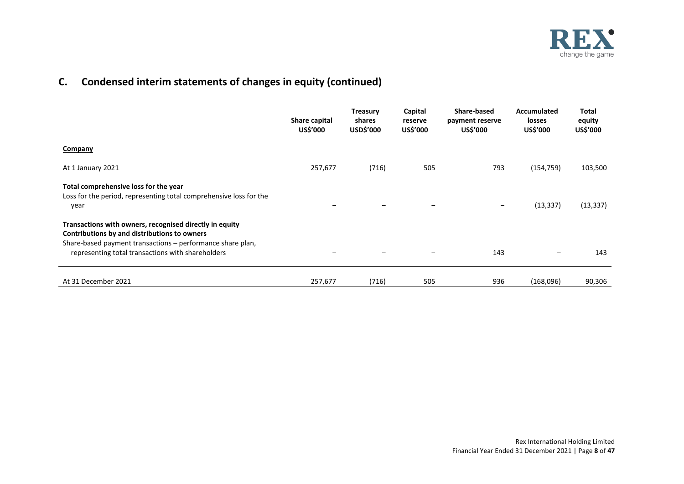

# **C. Condensed interim statements of changes in equity (continued)**

|                                                                                                                                                                                                                            | Share capital<br>US\$'000 | <b>Treasury</b><br>shares<br>USD\$'000 | Capital<br>reserve<br>US\$'000 | Share-based<br>payment reserve<br>US\$'000 | Accumulated<br><b>losses</b><br>US\$'000 | <b>Total</b><br>equity<br>US\$'000 |
|----------------------------------------------------------------------------------------------------------------------------------------------------------------------------------------------------------------------------|---------------------------|----------------------------------------|--------------------------------|--------------------------------------------|------------------------------------------|------------------------------------|
| Company                                                                                                                                                                                                                    |                           |                                        |                                |                                            |                                          |                                    |
| At 1 January 2021                                                                                                                                                                                                          | 257,677                   | (716)                                  | 505                            | 793                                        | (154, 759)                               | 103,500                            |
| Total comprehensive loss for the year<br>Loss for the period, representing total comprehensive loss for the<br>year                                                                                                        |                           |                                        |                                | $\qquad \qquad \blacksquare$               | (13, 337)                                | (13, 337)                          |
| Transactions with owners, recognised directly in equity<br>Contributions by and distributions to owners<br>Share-based payment transactions – performance share plan,<br>representing total transactions with shareholders | -                         |                                        |                                | 143                                        |                                          | 143                                |
| At 31 December 2021                                                                                                                                                                                                        | 257,677                   | (716)                                  | 505                            | 936                                        | (168,096)                                | 90,306                             |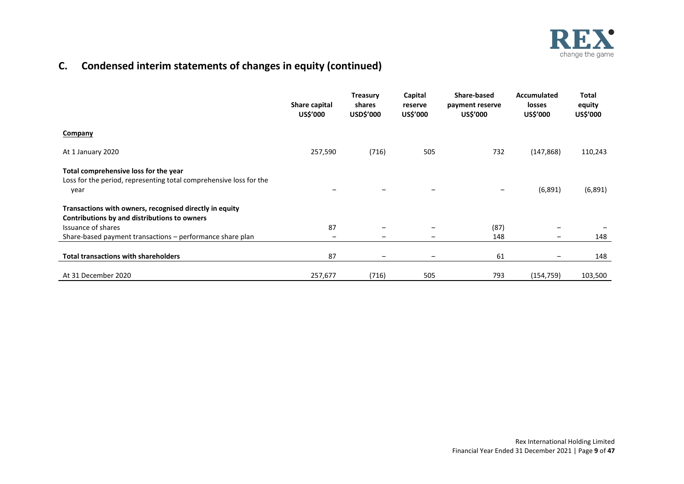

# **C. Condensed interim statements of changes in equity (continued)**

|                                                                                                                                                                                | Share capital<br>US\$'000 | <b>Treasury</b><br>shares<br>USD\$'000 | Capital<br>reserve<br>US\$'000 | Share-based<br>payment reserve<br>US\$'000 | <b>Accumulated</b><br>losses<br>US\$'000 | <b>Total</b><br>equity<br>US\$'000 |
|--------------------------------------------------------------------------------------------------------------------------------------------------------------------------------|---------------------------|----------------------------------------|--------------------------------|--------------------------------------------|------------------------------------------|------------------------------------|
| Company                                                                                                                                                                        |                           |                                        |                                |                                            |                                          |                                    |
| At 1 January 2020                                                                                                                                                              | 257,590                   | (716)                                  | 505                            | 732                                        | (147, 868)                               | 110,243                            |
| Total comprehensive loss for the year<br>Loss for the period, representing total comprehensive loss for the<br>year<br>Transactions with owners, recognised directly in equity |                           |                                        |                                | -                                          | (6,891)                                  | (6,891)                            |
| Contributions by and distributions to owners                                                                                                                                   |                           |                                        |                                |                                            |                                          |                                    |
| Issuance of shares                                                                                                                                                             | 87                        |                                        |                                | (87)                                       |                                          |                                    |
| Share-based payment transactions - performance share plan                                                                                                                      | -                         |                                        |                                | 148                                        | $\qquad \qquad \blacksquare$             | 148                                |
| <b>Total transactions with shareholders</b>                                                                                                                                    | 87                        | -                                      | $\overline{\phantom{m}}$       | 61                                         | $\qquad \qquad \blacksquare$             | 148                                |
| At 31 December 2020                                                                                                                                                            | 257,677                   | (716)                                  | 505                            | 793                                        | (154, 759)                               | 103,500                            |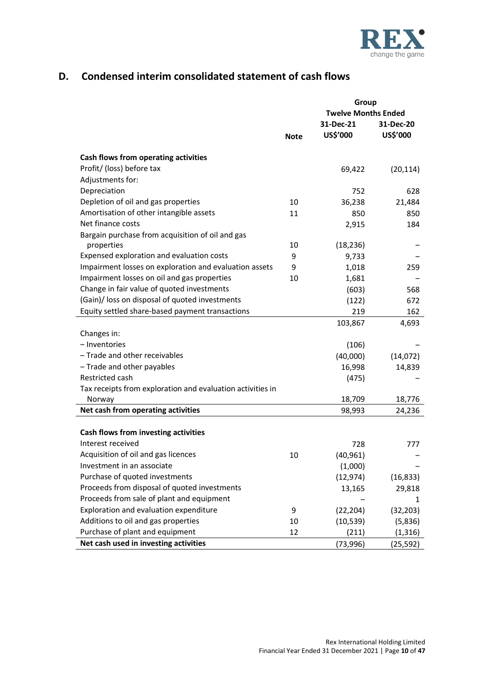

# **D. Condensed interim consolidated statement of cash flows**

|                                                            |             | Group                      |           |  |  |
|------------------------------------------------------------|-------------|----------------------------|-----------|--|--|
|                                                            |             | <b>Twelve Months Ended</b> |           |  |  |
|                                                            |             | 31-Dec-21                  | 31-Dec-20 |  |  |
|                                                            | <b>Note</b> | US\$'000                   | US\$'000  |  |  |
| Cash flows from operating activities                       |             |                            |           |  |  |
| Profit/ (loss) before tax                                  |             | 69,422                     | (20, 114) |  |  |
| Adjustments for:                                           |             |                            |           |  |  |
| Depreciation                                               |             | 752                        | 628       |  |  |
| Depletion of oil and gas properties                        | 10          | 36,238                     | 21,484    |  |  |
| Amortisation of other intangible assets                    | 11          | 850                        | 850       |  |  |
| Net finance costs                                          |             | 2,915                      | 184       |  |  |
| Bargain purchase from acquisition of oil and gas           |             |                            |           |  |  |
| properties                                                 | 10          | (18, 236)                  |           |  |  |
| Expensed exploration and evaluation costs                  | 9           | 9,733                      |           |  |  |
| Impairment losses on exploration and evaluation assets     | 9           | 1,018                      | 259       |  |  |
| Impairment losses on oil and gas properties                | 10          | 1,681                      |           |  |  |
| Change in fair value of quoted investments                 |             | (603)                      | 568       |  |  |
| (Gain)/ loss on disposal of quoted investments             |             | (122)                      | 672       |  |  |
| Equity settled share-based payment transactions            |             | 219                        | 162       |  |  |
|                                                            |             | 103,867                    | 4,693     |  |  |
| Changes in:                                                |             |                            |           |  |  |
| - Inventories                                              |             | (106)                      |           |  |  |
| - Trade and other receivables                              |             | (40,000)                   | (14, 072) |  |  |
| - Trade and other payables                                 |             | 16,998                     | 14,839    |  |  |
| Restricted cash                                            |             | (475)                      |           |  |  |
| Tax receipts from exploration and evaluation activities in |             |                            |           |  |  |
| Norway                                                     |             | 18,709                     | 18,776    |  |  |
| Net cash from operating activities                         |             | 98,993                     | 24,236    |  |  |
|                                                            |             |                            |           |  |  |
| Cash flows from investing activities                       |             |                            |           |  |  |
| Interest received                                          |             | 728                        | 777       |  |  |
| Acquisition of oil and gas licences                        | 10          | (40, 961)                  |           |  |  |
| Investment in an associate                                 |             | (1,000)                    |           |  |  |
| Purchase of quoted investments                             |             | (12, 974)                  | (16, 833) |  |  |
| Proceeds from disposal of quoted investments               |             | 13,165                     | 29,818    |  |  |
| Proceeds from sale of plant and equipment                  |             |                            | 1         |  |  |
| Exploration and evaluation expenditure                     | 9           | (22, 204)                  | (32, 203) |  |  |
| Additions to oil and gas properties                        | 10          | (10, 539)                  | (5,836)   |  |  |
| Purchase of plant and equipment                            | 12          | (211)                      | (1, 316)  |  |  |
| Net cash used in investing activities                      |             | (73, 996)                  | (25, 592) |  |  |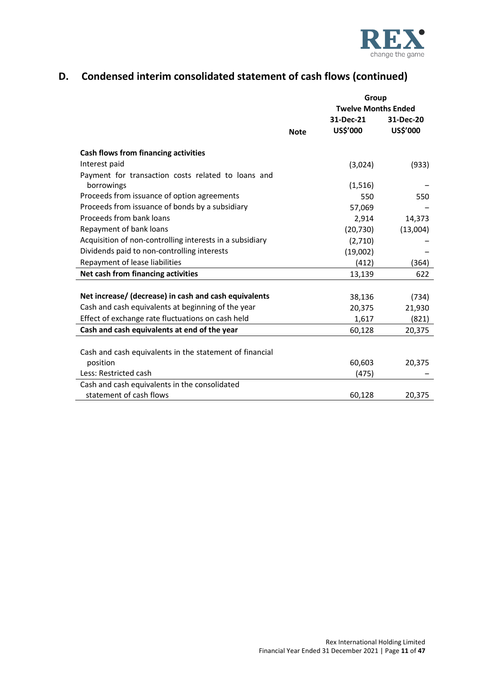

# **D. Condensed interim consolidated statement of cash flows (continued)**

|                                                          |             | Group                      |           |  |  |
|----------------------------------------------------------|-------------|----------------------------|-----------|--|--|
|                                                          |             | <b>Twelve Months Ended</b> |           |  |  |
|                                                          |             | 31-Dec-21                  | 31-Dec-20 |  |  |
|                                                          | <b>Note</b> | US\$'000                   | US\$'000  |  |  |
| Cash flows from financing activities                     |             |                            |           |  |  |
| Interest paid                                            |             | (3,024)                    | (933)     |  |  |
| Payment for transaction costs related to loans and       |             |                            |           |  |  |
| borrowings                                               |             | (1,516)                    |           |  |  |
| Proceeds from issuance of option agreements              |             | 550                        | 550       |  |  |
| Proceeds from issuance of bonds by a subsidiary          |             | 57,069                     |           |  |  |
| Proceeds from bank loans                                 |             | 2,914                      | 14,373    |  |  |
| Repayment of bank loans                                  |             | (20, 730)                  | (13,004)  |  |  |
| Acquisition of non-controlling interests in a subsidiary |             | (2,710)                    |           |  |  |
| Dividends paid to non-controlling interests              |             | (19,002)                   |           |  |  |
| Repayment of lease liabilities                           |             | (412)                      | (364)     |  |  |
| Net cash from financing activities                       |             | 13,139                     | 622       |  |  |
|                                                          |             |                            |           |  |  |
| Net increase/ (decrease) in cash and cash equivalents    |             | 38,136                     | (734)     |  |  |
| Cash and cash equivalents at beginning of the year       |             | 20,375                     | 21,930    |  |  |
| Effect of exchange rate fluctuations on cash held        |             | 1,617                      | (821)     |  |  |
| Cash and cash equivalents at end of the year             |             | 60,128                     | 20,375    |  |  |
|                                                          |             |                            |           |  |  |
| Cash and cash equivalents in the statement of financial  |             |                            |           |  |  |
| position                                                 |             | 60,603                     | 20,375    |  |  |
| Less: Restricted cash                                    |             | (475)                      |           |  |  |
| Cash and cash equivalents in the consolidated            |             |                            |           |  |  |
| statement of cash flows                                  |             | 60,128                     | 20,375    |  |  |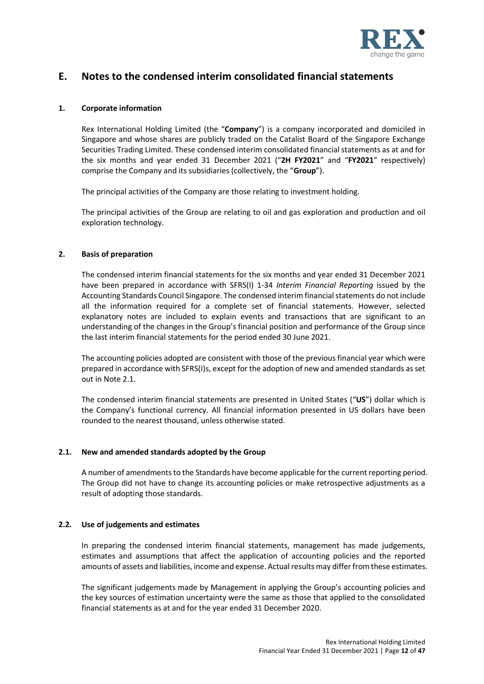

# **E. Notes to the condensed interim consolidated financial statements**

#### **1. Corporate information**

Rex International Holding Limited (the "**Company**") is a company incorporated and domiciled in Singapore and whose shares are publicly traded on the Catalist Board of the Singapore Exchange Securities Trading Limited. These condensed interim consolidated financial statements as at and for the six months and year ended 31 December 2021 ("**2H FY2021**" and "**FY2021**" respectively) comprise the Company and its subsidiaries (collectively, the "**Group**").

The principal activities of the Company are those relating to investment holding.

The principal activities of the Group are relating to oil and gas exploration and production and oil exploration technology.

#### **2. Basis of preparation**

The condensed interim financial statements for the six months and year ended 31 December 2021 have been prepared in accordance with SFRS(I) 1-34 *Interim Financial Reporting* issued by the Accounting Standards Council Singapore. The condensed interim financial statements do not include all the information required for a complete set of financial statements. However, selected explanatory notes are included to explain events and transactions that are significant to an understanding of the changes in the Group's financial position and performance of the Group since the last interim financial statements for the period ended 30 June 2021.

The accounting policies adopted are consistent with those of the previous financial year which were prepared in accordance with SFRS(I)s, except for the adoption of new and amended standards as set out in Note 2.1.

The condensed interim financial statements are presented in United States ("**US**") dollar which is the Company's functional currency. All financial information presented in US dollars have been rounded to the nearest thousand, unless otherwise stated.

#### **2.1. New and amended standards adopted by the Group**

A number of amendments to the Standards have become applicable for the current reporting period. The Group did not have to change its accounting policies or make retrospective adjustments as a result of adopting those standards.

# **2.2. Use of judgements and estimates**

In preparing the condensed interim financial statements, management has made judgements, estimates and assumptions that affect the application of accounting policies and the reported amounts of assets and liabilities, income and expense. Actual results may differ from these estimates.

The significant judgements made by Management in applying the Group's accounting policies and the key sources of estimation uncertainty were the same as those that applied to the consolidated financial statements as at and for the year ended 31 December 2020.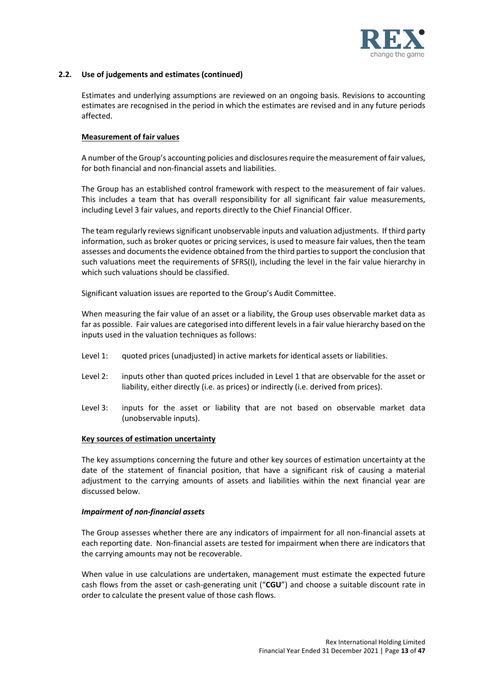

### **2.2. Use of judgements and estimates (continued)**

Estimates and underlying assumptions are reviewed on an ongoing basis. Revisions to accounting estimates are recognised in the period in which the estimates are revised and in any future periods affected.

#### **Measurement of fair values**

A number of the Group's accounting policies and disclosures require the measurement of fair values, for both financial and non-financial assets and liabilities.

The Group has an established control framework with respect to the measurement of fair values. This includes a team that has overall responsibility for all significant fair value measurements, including Level 3 fair values, and reports directly to the Chief Financial Officer.

The team regularly reviews significant unobservable inputs and valuation adjustments. If third party information, such as broker quotes or pricing services, is used to measure fair values, then the team assesses and documents the evidence obtained from the third parties to support the conclusion that such valuations meet the requirements of SFRS(I), including the level in the fair value hierarchy in which such valuations should be classified.

Significant valuation issues are reported to the Group's Audit Committee.

When measuring the fair value of an asset or a liability, the Group uses observable market data as far as possible. Fair values are categorised into different levels in a fair value hierarchy based on the inputs used in the valuation techniques as follows:

- Level 1: quoted prices (unadjusted) in active markets for identical assets or liabilities.
- Level 2: inputs other than quoted prices included in Level 1 that are observable for the asset or liability, either directly (i.e. as prices) or indirectly (i.e. derived from prices).
- Level 3: inputs for the asset or liability that are not based on observable market data (unobservable inputs).

#### **Key sources of estimation uncertainty**

The key assumptions concerning the future and other key sources of estimation uncertainty at the date of the statement of financial position, that have a significant risk of causing a material adjustment to the carrying amounts of assets and liabilities within the next financial year are discussed below.

#### *Impairment of non-financial assets*

The Group assesses whether there are any indicators of impairment for all non-financial assets at each reporting date. Non-financial assets are tested for impairment when there are indicators that the carrying amounts may not be recoverable.

When value in use calculations are undertaken, management must estimate the expected future cash flows from the asset or cash-generating unit ("**CGU**") and choose a suitable discount rate in order to calculate the present value of those cash flows.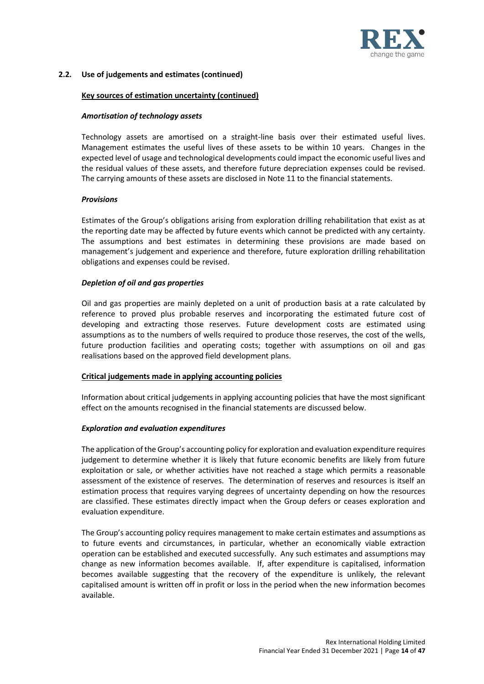

# **2.2. Use of judgements and estimates (continued)**

# **Key sources of estimation uncertainty (continued)**

### *Amortisation of technology assets*

Technology assets are amortised on a straight-line basis over their estimated useful lives. Management estimates the useful lives of these assets to be within 10 years. Changes in the expected level of usage and technological developments could impact the economic useful lives and the residual values of these assets, and therefore future depreciation expenses could be revised. The carrying amounts of these assets are disclosed in Note 11 to the financial statements.

#### *Provisions*

Estimates of the Group's obligations arising from exploration drilling rehabilitation that exist as at the reporting date may be affected by future events which cannot be predicted with any certainty. The assumptions and best estimates in determining these provisions are made based on management's judgement and experience and therefore, future exploration drilling rehabilitation obligations and expenses could be revised.

#### *Depletion of oil and gas properties*

Oil and gas properties are mainly depleted on a unit of production basis at a rate calculated by reference to proved plus probable reserves and incorporating the estimated future cost of developing and extracting those reserves. Future development costs are estimated using assumptions as to the numbers of wells required to produce those reserves, the cost of the wells, future production facilities and operating costs; together with assumptions on oil and gas realisations based on the approved field development plans.

# **Critical judgements made in applying accounting policies**

Information about critical judgements in applying accounting policies that have the most significant effect on the amounts recognised in the financial statements are discussed below.

#### *Exploration and evaluation expenditures*

The application of the Group's accounting policy for exploration and evaluation expenditure requires judgement to determine whether it is likely that future economic benefits are likely from future exploitation or sale, or whether activities have not reached a stage which permits a reasonable assessment of the existence of reserves. The determination of reserves and resources is itself an estimation process that requires varying degrees of uncertainty depending on how the resources are classified. These estimates directly impact when the Group defers or ceases exploration and evaluation expenditure.

The Group's accounting policy requires management to make certain estimates and assumptions as to future events and circumstances, in particular, whether an economically viable extraction operation can be established and executed successfully. Any such estimates and assumptions may change as new information becomes available. If, after expenditure is capitalised, information becomes available suggesting that the recovery of the expenditure is unlikely, the relevant capitalised amount is written off in profit or loss in the period when the new information becomes available.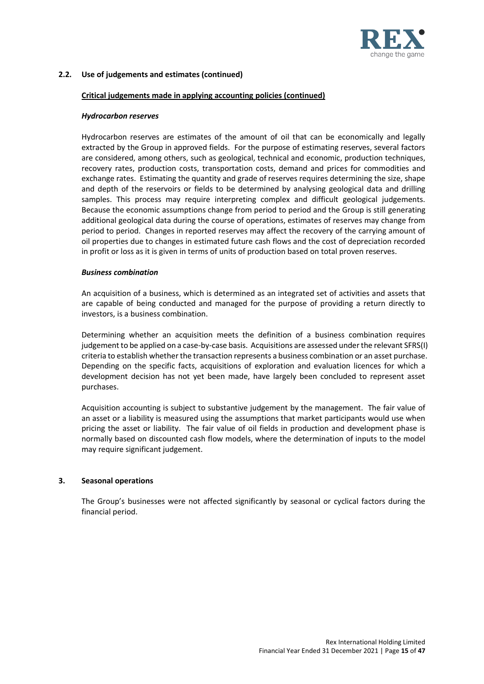

# **2.2. Use of judgements and estimates (continued)**

### **Critical judgements made in applying accounting policies (continued)**

#### *Hydrocarbon reserves*

Hydrocarbon reserves are estimates of the amount of oil that can be economically and legally extracted by the Group in approved fields. For the purpose of estimating reserves, several factors are considered, among others, such as geological, technical and economic, production techniques, recovery rates, production costs, transportation costs, demand and prices for commodities and exchange rates. Estimating the quantity and grade of reserves requires determining the size, shape and depth of the reservoirs or fields to be determined by analysing geological data and drilling samples. This process may require interpreting complex and difficult geological judgements. Because the economic assumptions change from period to period and the Group is still generating additional geological data during the course of operations, estimates of reserves may change from period to period. Changes in reported reserves may affect the recovery of the carrying amount of oil properties due to changes in estimated future cash flows and the cost of depreciation recorded in profit or loss as it is given in terms of units of production based on total proven reserves.

#### *Business combination*

An acquisition of a business, which is determined as an integrated set of activities and assets that are capable of being conducted and managed for the purpose of providing a return directly to investors, is a business combination.

Determining whether an acquisition meets the definition of a business combination requires judgement to be applied on a case-by-case basis. Acquisitions are assessed under the relevant SFRS(I) criteria to establish whether the transaction represents a business combination or an asset purchase. Depending on the specific facts, acquisitions of exploration and evaluation licences for which a development decision has not yet been made, have largely been concluded to represent asset purchases.

Acquisition accounting is subject to substantive judgement by the management. The fair value of an asset or a liability is measured using the assumptions that market participants would use when pricing the asset or liability. The fair value of oil fields in production and development phase is normally based on discounted cash flow models, where the determination of inputs to the model may require significant judgement.

#### **3. Seasonal operations**

The Group's businesses were not affected significantly by seasonal or cyclical factors during the financial period.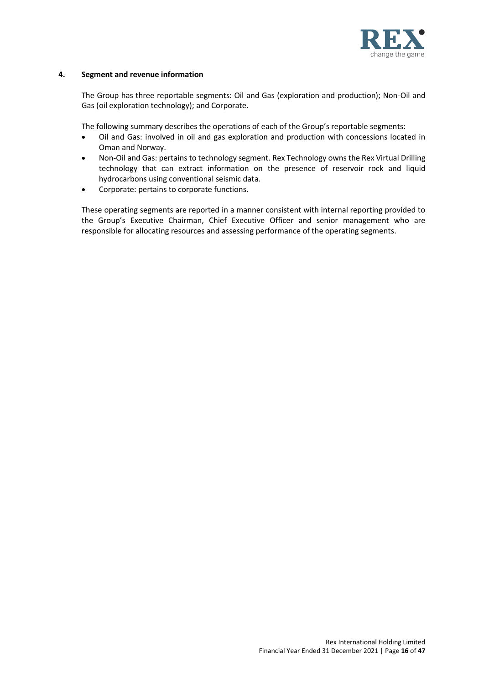

### **4. Segment and revenue information**

The Group has three reportable segments: Oil and Gas (exploration and production); Non-Oil and Gas (oil exploration technology); and Corporate.

The following summary describes the operations of each of the Group's reportable segments:

- Oil and Gas: involved in oil and gas exploration and production with concessions located in Oman and Norway.
- Non-Oil and Gas: pertains to technology segment. Rex Technology owns the Rex Virtual Drilling technology that can extract information on the presence of reservoir rock and liquid hydrocarbons using conventional seismic data.
- Corporate: pertains to corporate functions.

These operating segments are reported in a manner consistent with internal reporting provided to the Group's Executive Chairman, Chief Executive Officer and senior management who are responsible for allocating resources and assessing performance of the operating segments.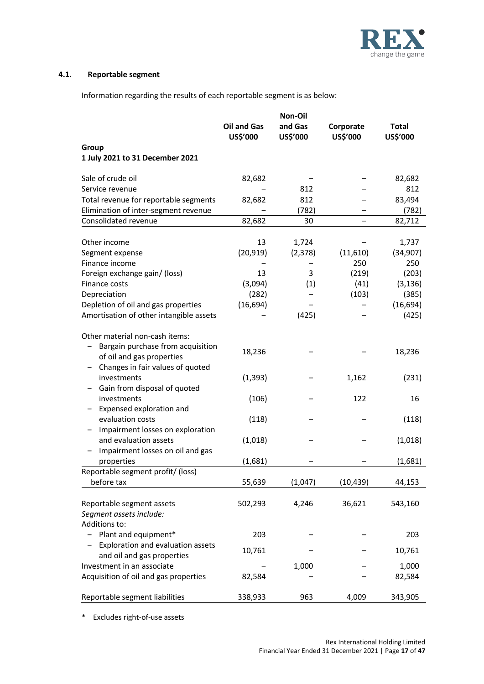

# **4.1. Reportable segment**

Information regarding the results of each reportable segment is as below:

|                                         | <b>Oil and Gas</b><br>US\$'000 | Non-Oil<br>and Gas<br>US\$'000 | Corporate<br>US\$'000 | <b>Total</b><br>US\$'000 |
|-----------------------------------------|--------------------------------|--------------------------------|-----------------------|--------------------------|
| Group                                   |                                |                                |                       |                          |
| 1 July 2021 to 31 December 2021         |                                |                                |                       |                          |
|                                         |                                |                                |                       |                          |
| Sale of crude oil                       | 82,682                         |                                |                       | 82,682                   |
| Service revenue                         |                                | 812                            |                       | 812                      |
| Total revenue for reportable segments   | 82,682                         | 812                            |                       | 83,494                   |
| Elimination of inter-segment revenue    |                                | (782)                          |                       | (782)                    |
| Consolidated revenue                    | 82,682                         | 30                             |                       | 82,712                   |
|                                         |                                |                                |                       |                          |
| Other income                            | 13                             | 1,724                          |                       | 1,737                    |
| Segment expense                         | (20, 919)                      | (2, 378)                       | (11,610)              | (34, 907)                |
| Finance income                          |                                |                                | 250                   | 250                      |
| Foreign exchange gain/ (loss)           | 13                             | 3                              | (219)                 | (203)                    |
| Finance costs                           | (3,094)                        | (1)                            | (41)                  | (3, 136)                 |
| Depreciation                            | (282)                          |                                | (103)                 | (385)                    |
| Depletion of oil and gas properties     | (16, 694)                      |                                |                       | (16, 694)                |
| Amortisation of other intangible assets |                                | (425)                          |                       | (425)                    |
| Other material non-cash items:          |                                |                                |                       |                          |
| Bargain purchase from acquisition       |                                |                                |                       |                          |
| of oil and gas properties               | 18,236                         |                                |                       | 18,236                   |
| Changes in fair values of quoted        |                                |                                |                       |                          |
| investments                             | (1, 393)                       |                                | 1,162                 | (231)                    |
| Gain from disposal of quoted            |                                |                                |                       |                          |
| investments                             | (106)                          |                                | 122                   | 16                       |
| Expensed exploration and                |                                |                                |                       |                          |
| evaluation costs                        | (118)                          |                                |                       | (118)                    |
| Impairment losses on exploration        |                                |                                |                       |                          |
| and evaluation assets                   | (1,018)                        |                                |                       | (1,018)                  |
| Impairment losses on oil and gas        |                                |                                |                       |                          |
| properties                              | (1,681)                        |                                |                       | (1,681)                  |
| Reportable segment profit/ (loss)       |                                |                                |                       |                          |
| before tax                              | 55,639                         | (1,047)                        | (10, 439)             | 44,153                   |
|                                         |                                |                                |                       |                          |
| Reportable segment assets               | 502,293                        | 4,246                          | 36,621                | 543,160                  |
| Segment assets include:                 |                                |                                |                       |                          |
| Additions to:                           |                                |                                |                       |                          |
| Plant and equipment*                    | 203                            |                                |                       | 203                      |
| Exploration and evaluation assets       | 10,761                         |                                |                       | 10,761                   |
| and oil and gas properties              |                                |                                |                       |                          |
| Investment in an associate              |                                | 1,000                          |                       | 1,000                    |
| Acquisition of oil and gas properties   | 82,584                         |                                |                       | 82,584                   |
| Reportable segment liabilities          | 338,933                        | 963                            | 4,009                 | 343,905                  |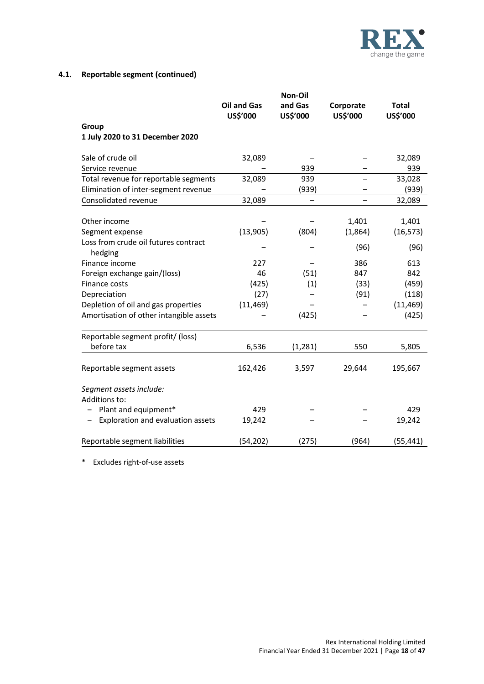

# **4.1. Reportable segment (continued)**

|                                                 |                    | Non-Oil  |           |              |
|-------------------------------------------------|--------------------|----------|-----------|--------------|
|                                                 | <b>Oil and Gas</b> | and Gas  | Corporate | <b>Total</b> |
|                                                 | US\$'000           | US\$'000 | US\$'000  | US\$'000     |
| Group                                           |                    |          |           |              |
| 1 July 2020 to 31 December 2020                 |                    |          |           |              |
| Sale of crude oil                               | 32,089             |          |           | 32,089       |
| Service revenue                                 |                    | 939      |           | 939          |
| Total revenue for reportable segments           | 32,089             | 939      |           | 33,028       |
| Elimination of inter-segment revenue            |                    | (939)    |           | (939)        |
| Consolidated revenue                            | 32,089             |          |           | 32,089       |
|                                                 |                    |          |           |              |
| Other income                                    |                    |          | 1,401     | 1,401        |
| Segment expense                                 | (13,905)           | (804)    | (1,864)   | (16, 573)    |
| Loss from crude oil futures contract            |                    |          | (96)      | (96)         |
| hedging                                         |                    |          |           |              |
| Finance income                                  | 227                |          | 386       | 613          |
| Foreign exchange gain/(loss)                    | 46                 | (51)     | 847       | 842          |
| Finance costs                                   | (425)              | (1)      | (33)      | (459)        |
| Depreciation                                    | (27)               |          | (91)      | (118)        |
| Depletion of oil and gas properties             | (11, 469)          |          |           | (11, 469)    |
| Amortisation of other intangible assets         |                    | (425)    |           | (425)        |
|                                                 |                    |          |           |              |
| Reportable segment profit/ (loss)<br>before tax |                    |          |           |              |
|                                                 | 6,536              | (1, 281) | 550       | 5,805        |
| Reportable segment assets                       | 162,426            | 3,597    | 29,644    | 195,667      |
|                                                 |                    |          |           |              |
| Segment assets include:                         |                    |          |           |              |
| Additions to:                                   |                    |          |           |              |
| Plant and equipment*                            | 429                |          |           | 429          |
| Exploration and evaluation assets               | 19,242             |          |           | 19,242       |
|                                                 |                    |          |           |              |
| Reportable segment liabilities                  | (54, 202)          | (275)    | (964)     | (55, 441)    |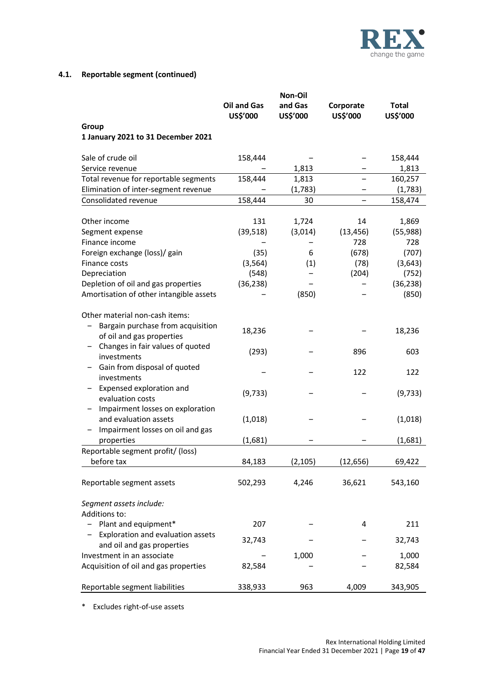

# **4.1. Reportable segment (continued)**

|                                                                                                                                      | Non-Oil                        |                     |                       |                          |
|--------------------------------------------------------------------------------------------------------------------------------------|--------------------------------|---------------------|-----------------------|--------------------------|
|                                                                                                                                      | <b>Oil and Gas</b><br>US\$'000 | and Gas<br>US\$'000 | Corporate<br>US\$'000 | <b>Total</b><br>US\$'000 |
| Group<br>1 January 2021 to 31 December 2021                                                                                          |                                |                     |                       |                          |
| Sale of crude oil                                                                                                                    | 158,444                        |                     |                       | 158,444                  |
| Service revenue                                                                                                                      |                                | 1,813               |                       | 1,813                    |
| Total revenue for reportable segments                                                                                                | 158,444                        | 1,813               |                       | 160,257                  |
| Elimination of inter-segment revenue                                                                                                 |                                | (1,783)             |                       | (1,783)                  |
| Consolidated revenue                                                                                                                 | 158,444                        | 30                  |                       | 158,474                  |
| Other income                                                                                                                         | 131                            | 1,724               | 14                    | 1,869                    |
| Segment expense                                                                                                                      | (39, 518)                      | (3,014)             | (13, 456)             | (55,988)                 |
| Finance income                                                                                                                       |                                |                     | 728                   | 728                      |
| Foreign exchange (loss)/ gain                                                                                                        | (35)                           | 6                   | (678)                 | (707)                    |
| Finance costs                                                                                                                        | (3, 564)                       | (1)                 | (78)                  | (3,643)                  |
| Depreciation                                                                                                                         | (548)                          |                     | (204)                 | (752)                    |
| Depletion of oil and gas properties                                                                                                  | (36, 238)                      |                     |                       | (36, 238)                |
| Amortisation of other intangible assets                                                                                              |                                | (850)               |                       | (850)                    |
| Other material non-cash items:<br>Bargain purchase from acquisition<br>of oil and gas properties<br>Changes in fair values of quoted | 18,236<br>(293)                |                     | 896                   | 18,236<br>603            |
| investments<br>Gain from disposal of quoted                                                                                          |                                |                     |                       |                          |
| investments                                                                                                                          |                                |                     | 122                   | 122                      |
| Expensed exploration and<br>evaluation costs<br>Impairment losses on exploration                                                     | (9, 733)                       |                     |                       | (9, 733)                 |
| and evaluation assets                                                                                                                | (1,018)                        |                     |                       | (1,018)                  |
| Impairment losses on oil and gas<br>properties                                                                                       | (1,681)                        |                     |                       | (1,681)                  |
| Reportable segment profit/ (loss)<br>before tax                                                                                      | 84,183                         | (2, 105)            | (12, 656)             | 69,422                   |
| Reportable segment assets                                                                                                            | 502,293                        | 4,246               | 36,621                | 543,160                  |
| Segment assets include:<br>Additions to:                                                                                             |                                |                     |                       |                          |
| Plant and equipment*                                                                                                                 | 207                            |                     | 4                     | 211                      |
| Exploration and evaluation assets<br>-<br>and oil and gas properties                                                                 | 32,743                         |                     |                       | 32,743                   |
| Investment in an associate                                                                                                           |                                | 1,000               |                       | 1,000                    |
| Acquisition of oil and gas properties                                                                                                | 82,584                         |                     |                       | 82,584                   |
| Reportable segment liabilities                                                                                                       | 338,933                        | 963                 | 4,009                 | 343,905                  |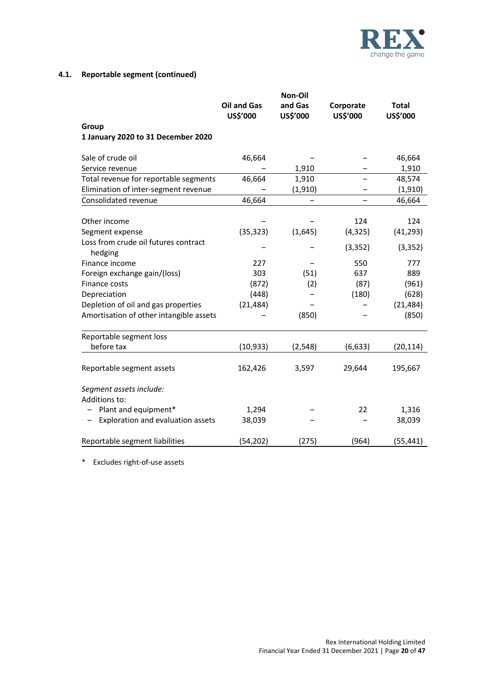

# **4.1. Reportable segment (continued)**

|                                                 |                    | Non-Oil  |           |              |
|-------------------------------------------------|--------------------|----------|-----------|--------------|
|                                                 | <b>Oil and Gas</b> | and Gas  | Corporate | <b>Total</b> |
|                                                 | US\$'000           | US\$'000 | US\$'000  | US\$'000     |
| Group                                           |                    |          |           |              |
| 1 January 2020 to 31 December 2020              |                    |          |           |              |
| Sale of crude oil                               | 46,664             |          |           | 46,664       |
| Service revenue                                 |                    | 1,910    |           | 1,910        |
| Total revenue for reportable segments           | 46,664             | 1,910    |           | 48,574       |
| Elimination of inter-segment revenue            |                    | (1, 910) |           | (1, 910)     |
| Consolidated revenue                            | 46,664             |          |           | 46,664       |
|                                                 |                    |          |           |              |
| Other income                                    |                    |          | 124       | 124          |
| Segment expense                                 | (35, 323)          | (1,645)  | (4, 325)  | (41, 293)    |
| Loss from crude oil futures contract<br>hedging |                    |          | (3, 352)  | (3, 352)     |
| Finance income                                  | 227                |          | 550       | 777          |
| Foreign exchange gain/(loss)                    | 303                | (51)     | 637       | 889          |
| Finance costs                                   | (872)              | (2)      | (87)      | (961)        |
| Depreciation                                    | (448)              |          | (180)     | (628)        |
| Depletion of oil and gas properties             | (21, 484)          |          |           | (21, 484)    |
| Amortisation of other intangible assets         |                    | (850)    |           | (850)        |
| Reportable segment loss                         |                    |          |           |              |
| before tax                                      | (10, 933)          | (2, 548) | (6, 633)  | (20, 114)    |
|                                                 |                    |          |           |              |
| Reportable segment assets                       | 162,426            | 3,597    | 29,644    | 195,667      |
| Segment assets include:                         |                    |          |           |              |
| Additions to:                                   |                    |          |           |              |
| Plant and equipment*                            | 1,294              |          | 22        | 1,316        |
| Exploration and evaluation assets               | 38,039             |          |           | 38,039       |
|                                                 |                    |          |           |              |
| Reportable segment liabilities                  | (54, 202)          | (275)    | (964)     | (55, 441)    |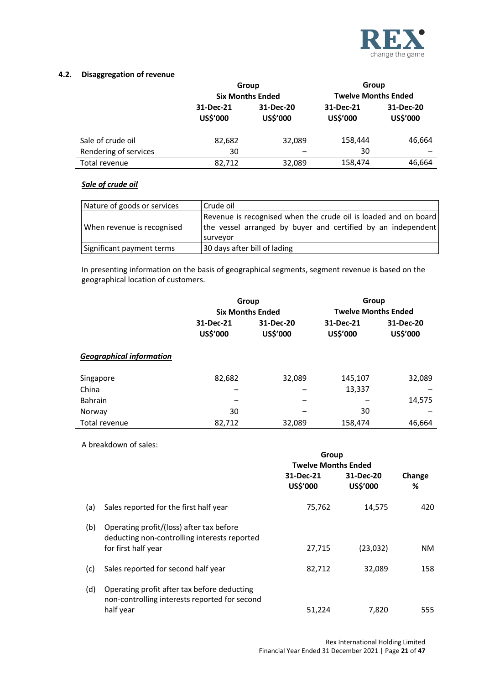

# **4.2. Disaggregation of revenue**

|                       | Group                        |                         | Group                 |                              |
|-----------------------|------------------------------|-------------------------|-----------------------|------------------------------|
|                       |                              | <b>Six Months Ended</b> |                       | <b>Twelve Months Ended</b>   |
|                       | 31-Dec-21<br><b>US\$'000</b> | 31-Dec-20<br>US\$'000   | 31-Dec-21<br>US\$'000 | 31-Dec-20<br><b>US\$'000</b> |
| Sale of crude oil     | 82,682                       | 32.089                  | 158,444               | 46,664                       |
| Rendering of services | 30                           |                         | 30                    |                              |
| Total revenue         | 82,712                       | 32,089                  | 158,474               | 46,664                       |

# *Sale of crude oil*

| Nature of goods or services | l Crude oil                                                              |
|-----------------------------|--------------------------------------------------------------------------|
|                             | Revenue is recognised when the crude oil is loaded and on board          |
| When revenue is recognised  | the vessel arranged by buyer and certified by an independent<br>surveyor |
| Significant payment terms   | 30 days after bill of lading                                             |

In presenting information on the basis of geographical segments, segment revenue is based on the geographical location of customers.

|                                 | Group                 |                         | Group                      |                       |
|---------------------------------|-----------------------|-------------------------|----------------------------|-----------------------|
|                                 |                       | <b>Six Months Ended</b> | <b>Twelve Months Ended</b> |                       |
|                                 | 31-Dec-21<br>US\$'000 | 31-Dec-20<br>US\$'000   | 31-Dec-21<br>US\$'000      | 31-Dec-20<br>US\$'000 |
| <b>Geographical information</b> |                       |                         |                            |                       |
| Singapore                       | 82,682                | 32,089                  | 145,107                    | 32,089                |
| China                           |                       |                         | 13,337                     |                       |
| <b>Bahrain</b>                  | -                     | -                       |                            | 14,575                |
| Norway                          | 30                    |                         | 30                         |                       |
| Total revenue                   | 82,712                | 32,089                  | 158,474                    | 46,664                |

A breakdown of sales:

|     |                                                                                                                 | Group<br><b>Twelve Months Ended</b> |                       |             |
|-----|-----------------------------------------------------------------------------------------------------------------|-------------------------------------|-----------------------|-------------|
|     |                                                                                                                 | 31-Dec-21<br>US\$'000               | 31-Dec-20<br>US\$'000 | Change<br>℅ |
| (a) | Sales reported for the first half year                                                                          | 75,762                              | 14,575                | 420         |
| (b) | Operating profit/(loss) after tax before<br>deducting non-controlling interests reported<br>for first half year | 27,715                              | (23,032)              | NM.         |
| (c) | Sales reported for second half year                                                                             | 82,712                              | 32,089                | 158         |
| (d) | Operating profit after tax before deducting<br>non-controlling interests reported for second<br>half year       | 51.224                              | 7,820                 | 555         |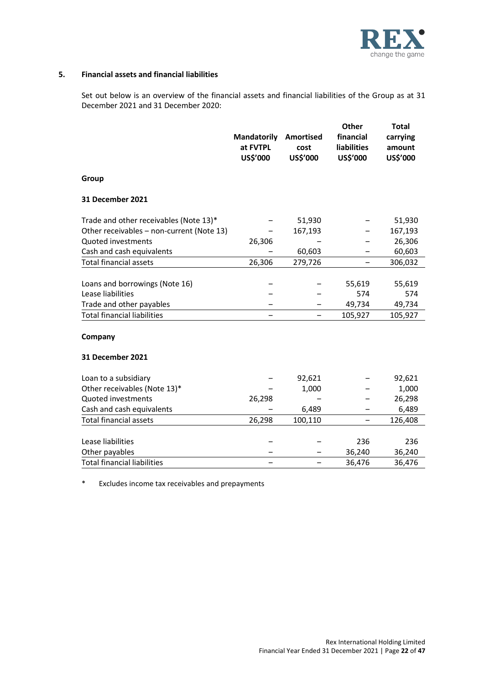

#### **5. Financial assets and financial liabilities**

Set out below is an overview of the financial assets and financial liabilities of the Group as at 31 December 2021 and 31 December 2020:

|                                           | <b>Mandatorily</b><br>at FVTPL<br>US\$'000 | <b>Amortised</b><br>cost<br>US\$'000 | <b>Other</b><br>financial<br><b>liabilities</b><br>US\$'000 | <b>Total</b><br>carrying<br>amount<br>US\$'000 |
|-------------------------------------------|--------------------------------------------|--------------------------------------|-------------------------------------------------------------|------------------------------------------------|
| Group                                     |                                            |                                      |                                                             |                                                |
| 31 December 2021                          |                                            |                                      |                                                             |                                                |
| Trade and other receivables (Note 13)*    |                                            | 51,930                               |                                                             | 51,930                                         |
| Other receivables - non-current (Note 13) |                                            | 167,193                              |                                                             | 167,193                                        |
| Quoted investments                        | 26,306                                     |                                      |                                                             | 26,306                                         |
| Cash and cash equivalents                 |                                            | 60,603                               |                                                             | 60,603                                         |
| <b>Total financial assets</b>             | 26,306                                     | 279,726                              | -                                                           | 306,032                                        |
|                                           |                                            |                                      |                                                             |                                                |
| Loans and borrowings (Note 16)            |                                            |                                      | 55,619                                                      | 55,619                                         |
| Lease liabilities                         |                                            |                                      | 574                                                         | 574                                            |
| Trade and other payables                  |                                            |                                      | 49,734                                                      | 49,734                                         |
| <b>Total financial liabilities</b>        |                                            |                                      | 105,927                                                     | 105,927                                        |
| Company                                   |                                            |                                      |                                                             |                                                |
| <b>31 December 2021</b>                   |                                            |                                      |                                                             |                                                |
| Loan to a subsidiary                      |                                            | 92,621                               |                                                             | 92,621                                         |
| Other receivables (Note 13)*              |                                            | 1,000                                |                                                             | 1,000                                          |
| Quoted investments                        | 26,298                                     |                                      |                                                             | 26,298                                         |
| Cash and cash equivalents                 |                                            | 6,489                                |                                                             | 6,489                                          |
| <b>Total financial assets</b>             | 26,298                                     | 100,110                              | -                                                           | 126,408                                        |
|                                           |                                            |                                      |                                                             |                                                |
| Lease liabilities                         |                                            |                                      | 236                                                         | 236                                            |
| Other payables                            |                                            |                                      | 36,240                                                      | 36,240                                         |
| <b>Total financial liabilities</b>        |                                            |                                      | 36,476                                                      | 36,476                                         |

\* Excludes income tax receivables and prepayments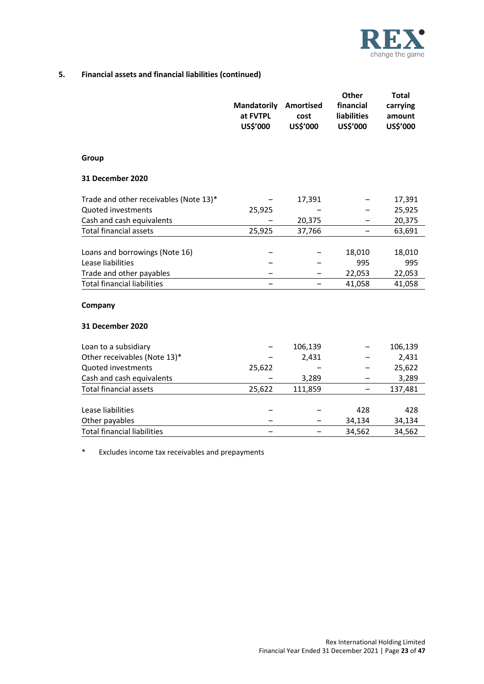

# **5. Financial assets and financial liabilities (continued)**

|                                        | <b>Mandatorily</b><br>at FVTPL<br>US\$'000 | <b>Amortised</b><br>cost<br>US\$'000 | <b>Other</b><br>financial<br><b>liabilities</b><br>US\$'000 | <b>Total</b><br>carrying<br>amount<br>US\$'000 |
|----------------------------------------|--------------------------------------------|--------------------------------------|-------------------------------------------------------------|------------------------------------------------|
| Group                                  |                                            |                                      |                                                             |                                                |
| 31 December 2020                       |                                            |                                      |                                                             |                                                |
| Trade and other receivables (Note 13)* |                                            | 17,391                               |                                                             | 17,391                                         |
| Quoted investments                     | 25,925                                     |                                      |                                                             | 25,925                                         |
| Cash and cash equivalents              |                                            | 20,375                               |                                                             | 20,375                                         |
| <b>Total financial assets</b>          | 25,925                                     | 37,766                               | -                                                           | 63,691                                         |
|                                        |                                            |                                      |                                                             |                                                |
| Loans and borrowings (Note 16)         |                                            |                                      | 18,010                                                      | 18,010                                         |
| Lease liabilities                      |                                            |                                      | 995                                                         | 995                                            |
| Trade and other payables               |                                            |                                      | 22,053                                                      | 22,053                                         |
| <b>Total financial liabilities</b>     |                                            |                                      | 41,058                                                      | 41,058                                         |
| Company                                |                                            |                                      |                                                             |                                                |
| 31 December 2020                       |                                            |                                      |                                                             |                                                |
| Loan to a subsidiary                   |                                            | 106,139                              |                                                             | 106,139                                        |
| Other receivables (Note 13)*           |                                            | 2,431                                |                                                             | 2,431                                          |
| Quoted investments                     | 25,622                                     |                                      |                                                             | 25,622                                         |
| Cash and cash equivalents              |                                            | 3,289                                |                                                             | 3,289                                          |
| <b>Total financial assets</b>          | 25,622                                     | 111,859                              | -                                                           | 137,481                                        |
|                                        |                                            |                                      |                                                             |                                                |
| Lease liabilities                      |                                            |                                      | 428                                                         | 428                                            |
| Other payables                         |                                            |                                      | 34,134                                                      | 34,134                                         |
| <b>Total financial liabilities</b>     |                                            |                                      | 34,562                                                      | 34,562                                         |

\* Excludes income tax receivables and prepayments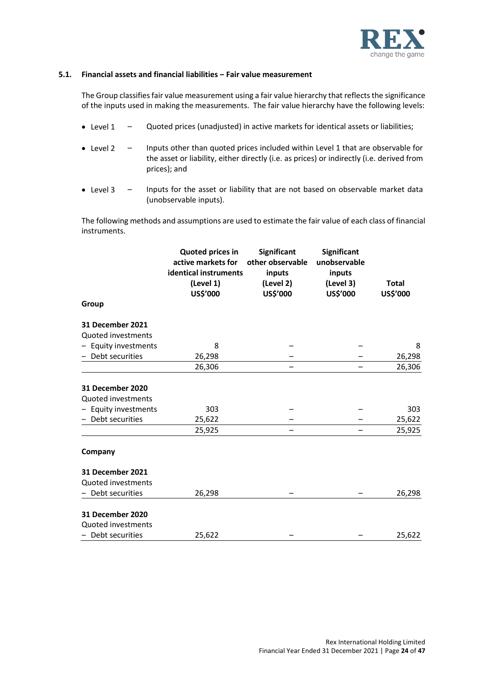

# **5.1. Financial assets and financial liabilities ‒ Fair value measurement**

The Group classifies fair value measurement using a fair value hierarchy that reflects the significance of the inputs used in making the measurements. The fair value hierarchy have the following levels:

- Level 1 Quoted prices (unadjusted) in active markets for identical assets or liabilities;
- Level 2 Inputs other than quoted prices included within Level 1 that are observable for the asset or liability, either directly (i.e. as prices) or indirectly (i.e. derived from prices); and
- Level 3 Inputs for the asset or liability that are not based on observable market data (unobservable inputs).

The following methods and assumptions are used to estimate the fair value of each class of financial instruments.

|                                                                                 | <b>Quoted prices in</b><br>active markets for<br>identical instruments<br>(Level 1)<br>US\$'000 | <b>Significant</b><br>other observable<br>inputs<br>(Level 2)<br>US\$'000 | <b>Significant</b><br>unobservable<br>inputs<br>(Level 3)<br>US\$'000 | <b>Total</b><br>US\$'000 |
|---------------------------------------------------------------------------------|-------------------------------------------------------------------------------------------------|---------------------------------------------------------------------------|-----------------------------------------------------------------------|--------------------------|
| Group                                                                           |                                                                                                 |                                                                           |                                                                       |                          |
| 31 December 2021<br>Quoted investments                                          |                                                                                                 |                                                                           |                                                                       |                          |
| Equity investments                                                              | 8                                                                                               |                                                                           |                                                                       | 8                        |
| Debt securities                                                                 | 26,298                                                                                          |                                                                           |                                                                       | 26,298                   |
|                                                                                 | 26,306                                                                                          |                                                                           |                                                                       | 26,306                   |
| 31 December 2020<br>Quoted investments<br>Equity investments<br>Debt securities | 303<br>25,622<br>25,925                                                                         |                                                                           |                                                                       | 303<br>25,622<br>25,925  |
| Company                                                                         |                                                                                                 |                                                                           |                                                                       |                          |
| <b>31 December 2021</b><br>Quoted investments<br>Debt securities                | 26,298                                                                                          |                                                                           |                                                                       | 26,298                   |
| 31 December 2020<br>Quoted investments<br>- Debt securities                     | 25,622                                                                                          |                                                                           |                                                                       | 25,622                   |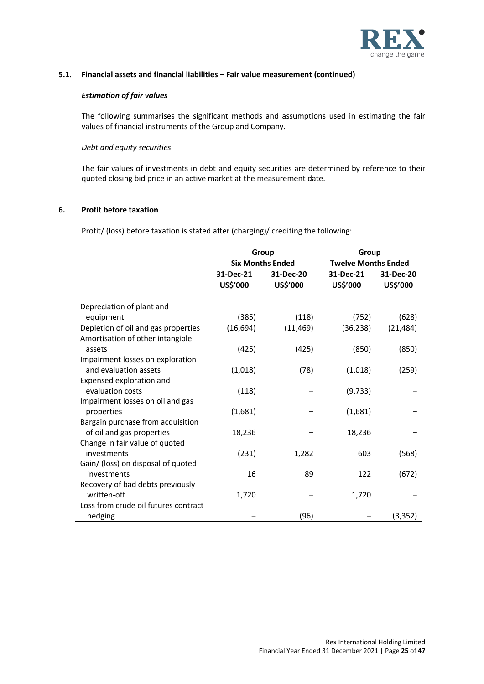

# **5.1. Financial assets and financial liabilities ‒ Fair value measurement (continued)**

#### *Estimation of fair values*

The following summarises the significant methods and assumptions used in estimating the fair values of financial instruments of the Group and Company.

#### *Debt and equity securities*

The fair values of investments in debt and equity securities are determined by reference to their quoted closing bid price in an active market at the measurement date.

### **6. Profit before taxation**

Profit/ (loss) before taxation is stated after (charging)/ crediting the following:

|                                                                         | Group<br><b>Six Months Ended</b> |                       | Group<br><b>Twelve Months Ended</b> |                              |
|-------------------------------------------------------------------------|----------------------------------|-----------------------|-------------------------------------|------------------------------|
|                                                                         | 31-Dec-21<br>US\$'000            | 31-Dec-20<br>US\$'000 | 31-Dec-21<br>US\$'000               | 31-Dec-20<br><b>US\$'000</b> |
| Depreciation of plant and                                               |                                  |                       |                                     |                              |
| equipment                                                               | (385)                            | (118)                 | (752)                               | (628)                        |
| Depletion of oil and gas properties<br>Amortisation of other intangible | (16, 694)                        | (11, 469)             | (36, 238)                           | (21, 484)                    |
| assets                                                                  | (425)                            | (425)                 | (850)                               | (850)                        |
| Impairment losses on exploration<br>and evaluation assets               | (1,018)                          | (78)                  | (1,018)                             | (259)                        |
| Expensed exploration and                                                |                                  |                       |                                     |                              |
| evaluation costs                                                        | (118)                            |                       | (9, 733)                            |                              |
| Impairment losses on oil and gas                                        |                                  |                       |                                     |                              |
| properties                                                              | (1,681)                          |                       | (1,681)                             |                              |
| Bargain purchase from acquisition                                       |                                  |                       |                                     |                              |
| of oil and gas properties                                               | 18,236                           |                       | 18,236                              |                              |
| Change in fair value of quoted                                          |                                  |                       |                                     |                              |
| investments                                                             | (231)                            | 1,282                 | 603                                 | (568)                        |
| Gain/ (loss) on disposal of quoted                                      |                                  |                       |                                     |                              |
| investments                                                             | 16                               | 89                    | 122                                 | (672)                        |
| Recovery of bad debts previously                                        |                                  |                       |                                     |                              |
| written-off                                                             | 1,720                            |                       | 1,720                               |                              |
| Loss from crude oil futures contract                                    |                                  |                       |                                     |                              |
| hedging                                                                 |                                  | (96)                  |                                     | (3, 352)                     |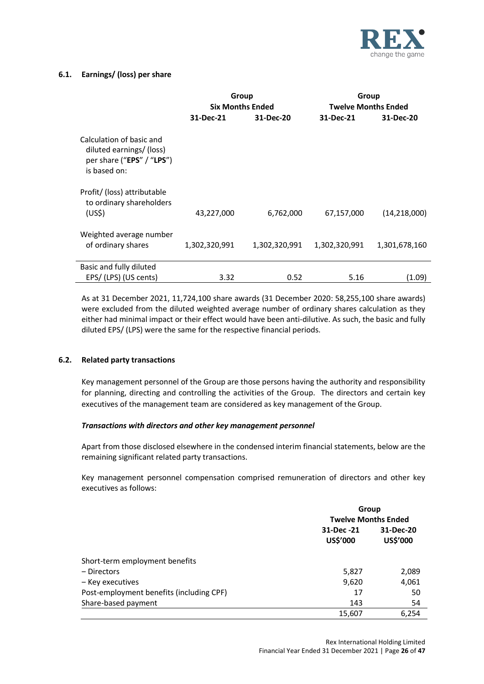

# **6.1. Earnings/ (loss) per share**

|                                                                                                   | Group                   |               | Group                      |                |  |
|---------------------------------------------------------------------------------------------------|-------------------------|---------------|----------------------------|----------------|--|
|                                                                                                   | <b>Six Months Ended</b> |               | <b>Twelve Months Ended</b> |                |  |
|                                                                                                   | 31-Dec-21               | 31-Dec-20     | 31-Dec-21                  | 31-Dec-20      |  |
| Calculation of basic and<br>diluted earnings/ (loss)<br>per share ("EPS" / "LPS")<br>is based on: |                         |               |                            |                |  |
| Profit/ (loss) attributable<br>to ordinary shareholders<br>(US <sub>5</sub> )                     | 43,227,000              | 6,762,000     | 67,157,000                 | (14, 218, 000) |  |
| Weighted average number<br>of ordinary shares                                                     | 1,302,320,991           | 1,302,320,991 | 1,302,320,991              | 1,301,678,160  |  |
| Basic and fully diluted                                                                           |                         |               |                            |                |  |
| EPS/(LPS) (US cents)                                                                              | 3.32                    | 0.52          | 5.16                       | (1.09)         |  |

As at 31 December 2021, 11,724,100 share awards (31 December 2020: 58,255,100 share awards) were excluded from the diluted weighted average number of ordinary shares calculation as they either had minimal impact or their effect would have been anti-dilutive. As such, the basic and fully diluted EPS/ (LPS) were the same for the respective financial periods.

# **6.2. Related party transactions**

Key management personnel of the Group are those persons having the authority and responsibility for planning, directing and controlling the activities of the Group. The directors and certain key executives of the management team are considered as key management of the Group.

# *Transactions with directors and other key management personnel*

Apart from those disclosed elsewhere in the condensed interim financial statements, below are the remaining significant related party transactions.

Key management personnel compensation comprised remuneration of directors and other key executives as follows:

|                                          | Group                      |                       |  |
|------------------------------------------|----------------------------|-----------------------|--|
|                                          | <b>Twelve Months Ended</b> |                       |  |
|                                          | 31-Dec -21<br>US\$'000     | 31-Dec-20<br>US\$'000 |  |
| Short-term employment benefits           |                            |                       |  |
| – Directors                              | 5,827                      | 2,089                 |  |
| – Key executives                         | 9,620                      | 4,061                 |  |
| Post-employment benefits (including CPF) | 17                         | 50                    |  |
| Share-based payment                      | 143                        | 54                    |  |
|                                          | 15,607                     | 6.254                 |  |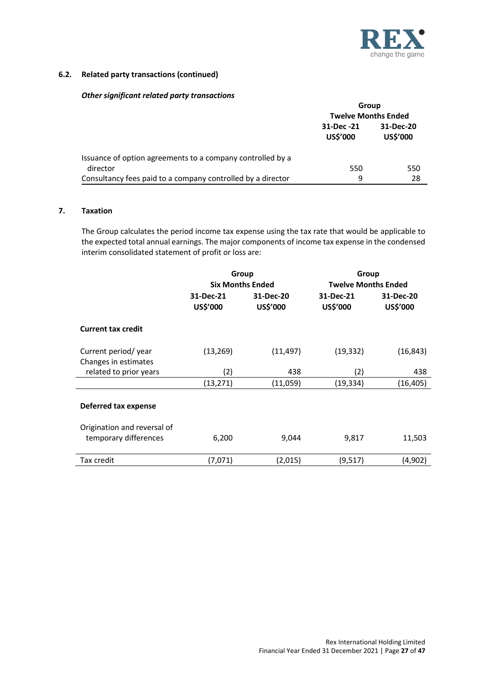

# **6.2. Related party transactions (continued)**

### *Other significant related party transactions*

|                                                             | Group                                           |                            |  |
|-------------------------------------------------------------|-------------------------------------------------|----------------------------|--|
|                                                             |                                                 | <b>Twelve Months Ended</b> |  |
|                                                             | 31-Dec -21<br>31-Dec-20<br>US\$'000<br>US\$'000 |                            |  |
| Issuance of option agreements to a company controlled by a  |                                                 |                            |  |
| director                                                    | 550                                             | 550                        |  |
| Consultancy fees paid to a company controlled by a director | 9                                               | 28                         |  |

#### **7. Taxation**

The Group calculates the period income tax expense using the tax rate that would be applicable to the expected total annual earnings. The major components of income tax expense in the condensed interim consolidated statement of profit or loss are:

|                             | Group                   |           | Group                      |           |  |
|-----------------------------|-------------------------|-----------|----------------------------|-----------|--|
|                             | <b>Six Months Ended</b> |           | <b>Twelve Months Ended</b> |           |  |
|                             | 31-Dec-21               | 31-Dec-20 | 31-Dec-21                  | 31-Dec-20 |  |
|                             | US\$'000                | US\$'000  | US\$'000                   | US\$'000  |  |
| <b>Current tax credit</b>   |                         |           |                            |           |  |
| Current period/year         | (13, 269)               | (11, 497) | (19, 332)                  | (16, 843) |  |
| Changes in estimates        |                         |           |                            |           |  |
| related to prior years      | (2)                     | 438       | (2)                        | 438       |  |
|                             | (13, 271)               | (11,059)  | (19, 334)                  | (16,405)  |  |
| <b>Deferred tax expense</b> |                         |           |                            |           |  |
| Origination and reversal of |                         |           |                            |           |  |
| temporary differences       | 6,200                   | 9,044     | 9,817                      | 11,503    |  |
| Tax credit                  | (7,071)                 | (2,015)   | (9,517)                    | (4,902)   |  |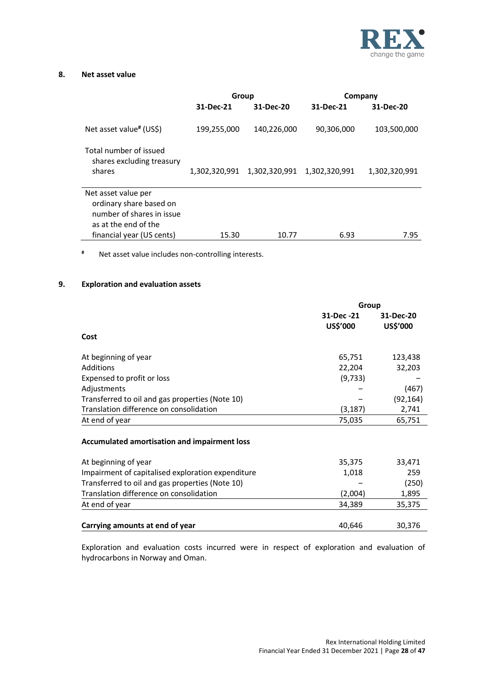

# **8. Net asset value**

|                                                                                                     | Group         |                             |            | Company       |
|-----------------------------------------------------------------------------------------------------|---------------|-----------------------------|------------|---------------|
|                                                                                                     | 31-Dec-21     | 31-Dec-20                   | 31-Dec-21  | 31-Dec-20     |
| Net asset value# (US\$)                                                                             | 199,255,000   | 140,226,000                 | 90,306,000 | 103,500,000   |
| Total number of issued<br>shares excluding treasury<br>shares                                       | 1,302,320,991 | 1,302,320,991 1,302,320,991 |            | 1,302,320,991 |
| Net asset value per<br>ordinary share based on<br>number of shares in issue<br>as at the end of the |               |                             |            |               |
| financial year (US cents)                                                                           | 15.30         | 10.77                       | 6.93       | 7.95          |
|                                                                                                     |               |                             |            |               |

**#** Net asset value includes non-controlling interests.

# **9. Exploration and evaluation assets**

|                                                     | Group      |           |  |
|-----------------------------------------------------|------------|-----------|--|
|                                                     | 31-Dec -21 | 31-Dec-20 |  |
|                                                     | US\$'000   | US\$'000  |  |
| Cost                                                |            |           |  |
| At beginning of year                                | 65,751     | 123,438   |  |
| <b>Additions</b>                                    | 22,204     | 32,203    |  |
| Expensed to profit or loss                          | (9, 733)   |           |  |
| Adjustments                                         |            | (467)     |  |
| Transferred to oil and gas properties (Note 10)     |            | (92, 164) |  |
| Translation difference on consolidation             | (3, 187)   | 2,741     |  |
| At end of year                                      | 75,035     | 65,751    |  |
| <b>Accumulated amortisation and impairment loss</b> |            |           |  |
|                                                     |            |           |  |
| At beginning of year                                | 35,375     | 33,471    |  |
| Impairment of capitalised exploration expenditure   | 1,018      | 259       |  |
| Transferred to oil and gas properties (Note 10)     |            | (250)     |  |
| Translation difference on consolidation             | (2,004)    | 1,895     |  |
| At end of year                                      | 34,389     | 35,375    |  |
|                                                     |            |           |  |
| Carrying amounts at end of year                     | 40,646     | 30,376    |  |

Exploration and evaluation costs incurred were in respect of exploration and evaluation of hydrocarbons in Norway and Oman.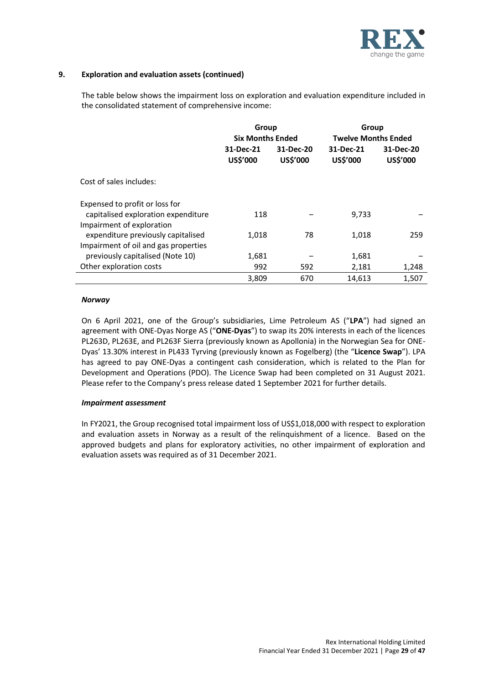

### **9. Exploration and evaluation assets (continued)**

The table below shows the impairment loss on exploration and evaluation expenditure included in the consolidated statement of comprehensive income:

|                                                                  | Group                   |                       | Group                      |                       |
|------------------------------------------------------------------|-------------------------|-----------------------|----------------------------|-----------------------|
|                                                                  | <b>Six Months Ended</b> |                       | <b>Twelve Months Ended</b> |                       |
|                                                                  | 31-Dec-21<br>US\$'000   | 31-Dec-20<br>US\$'000 | 31-Dec-21<br>US\$'000      | 31-Dec-20<br>US\$'000 |
| Cost of sales includes:                                          |                         |                       |                            |                       |
| Expensed to profit or loss for                                   |                         |                       |                            |                       |
| capitalised exploration expenditure<br>Impairment of exploration | 118                     |                       | 9,733                      |                       |
| expenditure previously capitalised                               | 1,018                   | 78                    | 1,018                      | 259                   |
| Impairment of oil and gas properties                             |                         |                       |                            |                       |
| previously capitalised (Note 10)                                 | 1,681                   |                       | 1,681                      |                       |
| Other exploration costs                                          | 992                     | 592                   | 2,181                      | 1,248                 |
|                                                                  | 3,809                   | 670                   | 14,613                     | 1,507                 |

#### *Norway*

On 6 April 2021, one of the Group's subsidiaries, Lime Petroleum AS ("**LPA**") had signed an agreement with ONE-Dyas Norge AS ("**ONE-Dyas**") to swap its 20% interests in each of the licences PL263D, PL263E, and PL263F Sierra (previously known as Apollonia) in the Norwegian Sea for ONE-Dyas' 13.30% interest in PL433 Tyrving (previously known as Fogelberg) (the "**Licence Swap**"). LPA has agreed to pay ONE-Dyas a contingent cash consideration, which is related to the Plan for Development and Operations (PDO). The Licence Swap had been completed on 31 August 2021. Please refer to the Company's press release dated 1 September 2021 for further details.

# *Impairment assessment*

In FY2021, the Group recognised total impairment loss of US\$1,018,000 with respect to exploration and evaluation assets in Norway as a result of the relinquishment of a licence. Based on the approved budgets and plans for exploratory activities, no other impairment of exploration and evaluation assets was required as of 31 December 2021.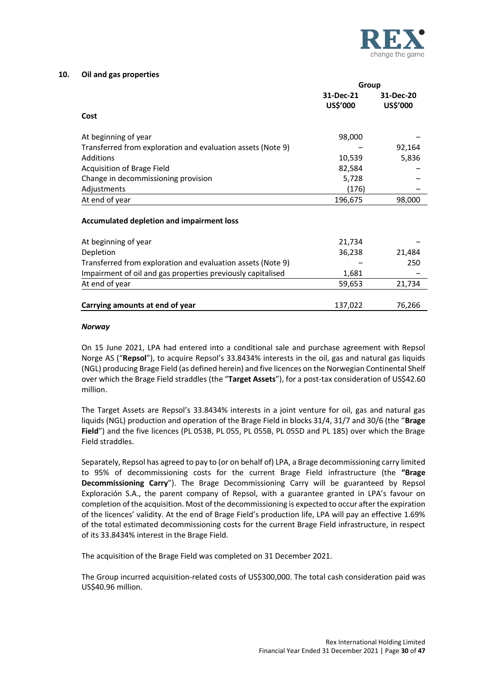

#### **10. Oil and gas properties**

|                                                             | Group                 |                       |  |
|-------------------------------------------------------------|-----------------------|-----------------------|--|
|                                                             | 31-Dec-21<br>US\$'000 | 31-Dec-20<br>US\$'000 |  |
| Cost                                                        |                       |                       |  |
| At beginning of year                                        | 98,000                |                       |  |
| Transferred from exploration and evaluation assets (Note 9) |                       | 92,164                |  |
| Additions                                                   | 10,539                | 5,836                 |  |
| Acquisition of Brage Field                                  | 82,584                |                       |  |
| Change in decommissioning provision                         | 5,728                 |                       |  |
| Adjustments                                                 | (176)                 |                       |  |
| At end of year                                              | 196,675               | 98,000                |  |
| <b>Accumulated depletion and impairment loss</b>            |                       |                       |  |
| At beginning of year                                        | 21,734                |                       |  |
| Depletion                                                   | 36,238                | 21,484                |  |
| Transferred from exploration and evaluation assets (Note 9) |                       | 250                   |  |
| Impairment of oil and gas properties previously capitalised | 1,681                 |                       |  |
| At end of year                                              | 59,653                | 21,734                |  |
| Carrying amounts at end of year                             | 137,022               | 76,266                |  |

#### *Norway*

On 15 June 2021, LPA had entered into a conditional sale and purchase agreement with Repsol Norge AS ("**Repsol**"), to acquire Repsol's 33.8434% interests in the oil, gas and natural gas liquids (NGL) producing Brage Field (as defined herein) and five licences on the Norwegian Continental Shelf over which the Brage Field straddles (the "**Target Assets**"), for a post-tax consideration of US\$42.60 million.

The Target Assets are Repsol's 33.8434% interests in a joint venture for oil, gas and natural gas liquids (NGL) production and operation of the Brage Field in blocks 31/4, 31/7 and 30/6 (the "**Brage Field**") and the five licences (PL 053B, PL 055, PL 055B, PL 055D and PL 185) over which the Brage Field straddles.

Separately, Repsol has agreed to pay to (or on behalf of) LPA, a Brage decommissioning carry limited to 95% of decommissioning costs for the current Brage Field infrastructure (the **"Brage Decommissioning Carry**"). The Brage Decommissioning Carry will be guaranteed by Repsol Exploración S.A., the parent company of Repsol, with a guarantee granted in LPA's favour on completion of the acquisition. Most of the decommissioning is expected to occur after the expiration of the licences' validity. At the end of Brage Field's production life, LPA will pay an effective 1.69% of the total estimated decommissioning costs for the current Brage Field infrastructure, in respect of its 33.8434% interest in the Brage Field.

The acquisition of the Brage Field was completed on 31 December 2021.

The Group incurred acquisition-related costs of US\$300,000. The total cash consideration paid was US\$40.96 million.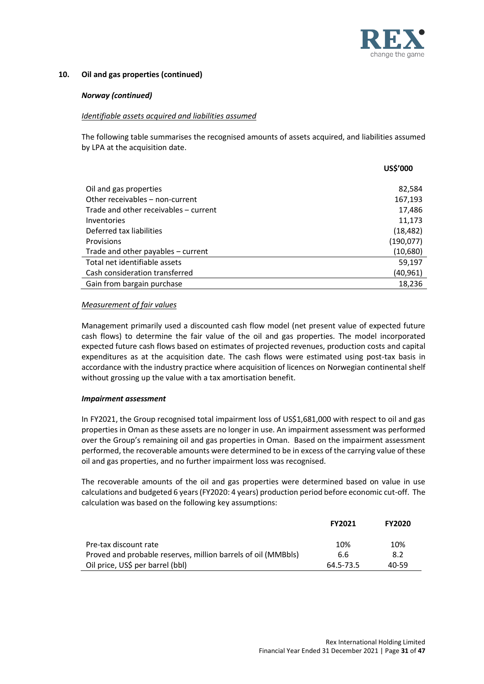

# **10. Oil and gas properties (continued)**

#### *Norway (continued)*

#### *Identifiable assets acquired and liabilities assumed*

The following table summarises the recognised amounts of assets acquired, and liabilities assumed by LPA at the acquisition date.

|                                       | US\$'000   |
|---------------------------------------|------------|
|                                       |            |
| Oil and gas properties                | 82,584     |
| Other receivables - non-current       | 167,193    |
| Trade and other receivables - current | 17,486     |
| Inventories                           | 11,173     |
| Deferred tax liabilities              | (18, 482)  |
| <b>Provisions</b>                     | (190, 077) |
| Trade and other payables – current    | (10,680)   |
| Total net identifiable assets         | 59,197     |
| Cash consideration transferred        | (40,961)   |
| Gain from bargain purchase            | 18,236     |

#### *Measurement of fair values*

Management primarily used a discounted cash flow model (net present value of expected future cash flows) to determine the fair value of the oil and gas properties. The model incorporated expected future cash flows based on estimates of projected revenues, production costs and capital expenditures as at the acquisition date. The cash flows were estimated using post-tax basis in accordance with the industry practice where acquisition of licences on Norwegian continental shelf without grossing up the value with a tax amortisation benefit.

#### *Impairment assessment*

In FY2021, the Group recognised total impairment loss of US\$1,681,000 with respect to oil and gas properties in Oman as these assets are no longer in use. An impairment assessment was performed over the Group's remaining oil and gas properties in Oman. Based on the impairment assessment performed, the recoverable amounts were determined to be in excess of the carrying value of these oil and gas properties, and no further impairment loss was recognised.

The recoverable amounts of the oil and gas properties were determined based on value in use calculations and budgeted 6 years(FY2020: 4 years) production period before economic cut-off. The calculation was based on the following key assumptions:

|                                                               | <b>FY2021</b> | <b>FY2020</b> |
|---------------------------------------------------------------|---------------|---------------|
| Pre-tax discount rate                                         | 10%           | 10%           |
| Proved and probable reserves, million barrels of oil (MMBbls) | 6.6           | 8.2           |
| Oil price, US\$ per barrel (bbl)                              | 64.5-73.5     | 40-59         |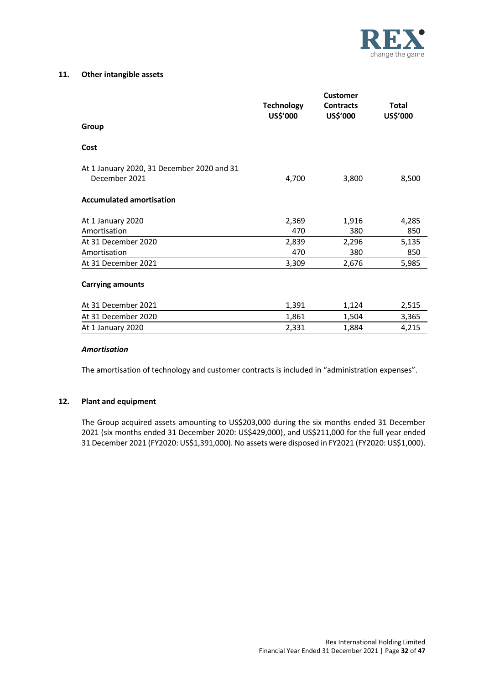

#### **11. Other intangible assets**

|                                            | <b>Customer</b>               |                              |                          |  |
|--------------------------------------------|-------------------------------|------------------------------|--------------------------|--|
|                                            | <b>Technology</b><br>US\$'000 | <b>Contracts</b><br>US\$'000 | <b>Total</b><br>US\$'000 |  |
| Group                                      |                               |                              |                          |  |
| Cost                                       |                               |                              |                          |  |
| At 1 January 2020, 31 December 2020 and 31 |                               |                              |                          |  |
| December 2021                              | 4,700                         | 3,800                        | 8,500                    |  |
| <b>Accumulated amortisation</b>            |                               |                              |                          |  |
| At 1 January 2020                          | 2,369                         | 1,916                        | 4,285                    |  |
| Amortisation                               | 470                           | 380                          | 850                      |  |
| At 31 December 2020                        | 2,839                         | 2,296                        | 5,135                    |  |
| Amortisation                               | 470                           | 380                          | 850                      |  |
| At 31 December 2021                        | 3,309                         | 2,676                        | 5,985                    |  |
| <b>Carrying amounts</b>                    |                               |                              |                          |  |
| At 31 December 2021                        | 1,391                         | 1,124                        | 2,515                    |  |
| At 31 December 2020                        | 1,861                         | 1,504                        | 3,365                    |  |
| At 1 January 2020                          | 2,331                         | 1,884                        | 4,215                    |  |
|                                            |                               |                              |                          |  |

#### *Amortisation*

The amortisation of technology and customer contracts is included in "administration expenses".

#### **12. Plant and equipment**

The Group acquired assets amounting to US\$203,000 during the six months ended 31 December 2021 (six months ended 31 December 2020: US\$429,000), and US\$211,000 for the full year ended 31 December 2021 (FY2020: US\$1,391,000). No assets were disposed in FY2021 (FY2020: US\$1,000).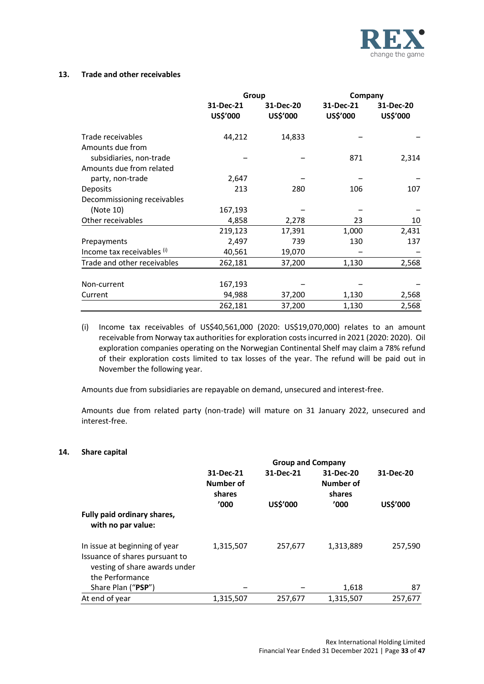

### **13. Trade and other receivables**

|                             | Group                 |                       | Company               |                       |
|-----------------------------|-----------------------|-----------------------|-----------------------|-----------------------|
|                             | 31-Dec-21<br>US\$'000 | 31-Dec-20<br>US\$'000 | 31-Dec-21<br>US\$'000 | 31-Dec-20<br>US\$'000 |
| Trade receivables           | 44,212                | 14,833                |                       |                       |
| Amounts due from            |                       |                       |                       |                       |
| subsidiaries, non-trade     |                       |                       | 871                   | 2,314                 |
| Amounts due from related    |                       |                       |                       |                       |
| party, non-trade            | 2,647                 |                       |                       |                       |
| Deposits                    | 213                   | 280                   | 106                   | 107                   |
| Decommissioning receivables |                       |                       |                       |                       |
| (Note 10)                   | 167,193               |                       |                       |                       |
| Other receivables           | 4,858                 | 2,278                 | 23                    | 10                    |
|                             | 219,123               | 17,391                | 1,000                 | 2,431                 |
| Prepayments                 | 2,497                 | 739                   | 130                   | 137                   |
| Income tax receivables (i)  | 40,561                | 19,070                |                       |                       |
| Trade and other receivables | 262,181               | 37,200                | 1,130                 | 2,568                 |
| Non-current                 | 167,193               |                       |                       |                       |
| Current                     | 94,988                | 37,200                | 1,130                 | 2,568                 |
|                             | 262,181               | 37,200                | 1,130                 | 2,568                 |

(i) Income tax receivables of US\$40,561,000 (2020: US\$19,070,000) relates to an amount receivable from Norway tax authorities for exploration costs incurred in 2021 (2020: 2020). Oil exploration companies operating on the Norwegian Continental Shelf may claim a 78% refund of their exploration costs limited to tax losses of the year. The refund will be paid out in November the following year.

Amounts due from subsidiaries are repayable on demand, unsecured and interest-free.

Amounts due from related party (non-trade) will mature on 31 January 2022, unsecured and interest-free.

### **14. Share capital**

|                                                                                                                     | <b>Group and Company</b>                  |                       |                                          |                       |  |  |
|---------------------------------------------------------------------------------------------------------------------|-------------------------------------------|-----------------------|------------------------------------------|-----------------------|--|--|
|                                                                                                                     | 31-Dec-21<br>Number of<br>shares<br>'000' | 31-Dec-21<br>US\$'000 | 31-Dec-20<br>Number of<br>shares<br>'000 | 31-Dec-20<br>US\$'000 |  |  |
| Fully paid ordinary shares,<br>with no par value:                                                                   |                                           |                       |                                          |                       |  |  |
| In issue at beginning of year<br>Issuance of shares pursuant to<br>vesting of share awards under<br>the Performance | 1,315,507                                 | 257,677               | 1,313,889                                | 257,590               |  |  |
| Share Plan ("PSP")                                                                                                  |                                           |                       | 1,618                                    | 87                    |  |  |
| At end of year                                                                                                      | 1,315,507                                 | 257,677               | 1,315,507                                | 257,677               |  |  |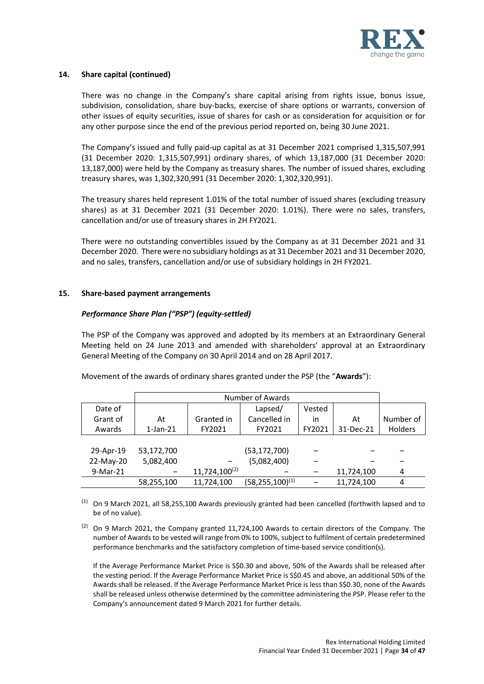

#### **14. Share capital (continued)**

There was no change in the Company's share capital arising from rights issue, bonus issue, subdivision, consolidation, share buy-backs, exercise of share options or warrants, conversion of other issues of equity securities, issue of shares for cash or as consideration for acquisition or for any other purpose since the end of the previous period reported on, being 30 June 2021.

The Company's issued and fully paid-up capital as at 31 December 2021 comprised 1,315,507,991 (31 December 2020: 1,315,507,991) ordinary shares, of which 13,187,000 (31 December 2020: 13,187,000) were held by the Company as treasury shares. The number of issued shares, excluding treasury shares, was 1,302,320,991 (31 December 2020: 1,302,320,991).

The treasury shares held represent 1.01% of the total number of issued shares (excluding treasury shares) as at 31 December 2021 (31 December 2020: 1.01%). There were no sales, transfers, cancellation and/or use of treasury shares in 2H FY2021.

There were no outstanding convertibles issued by the Company as at 31 December 2021 and 31 December 2020. There were no subsidiary holdings as at 31 December 2021 and 31 December 2020, and no sales, transfers, cancellation and/or use of subsidiary holdings in 2H FY2021.

#### **15. Share-based payment arrangements**

# *Performance Share Plan ("PSP") (equity-settled)*

The PSP of the Company was approved and adopted by its members at an Extraordinary General Meeting held on 24 June 2013 and amended with shareholders' approval at an Extraordinary General Meeting of the Company on 30 April 2014 and on 28 April 2017.

Movement of the awards of ordinary shares granted under the PSP (the "**Awards**"):

|           | Number of Awards |                    |                        |        |            |           |
|-----------|------------------|--------------------|------------------------|--------|------------|-----------|
| Date of   |                  |                    | Lapsed/                | Vested |            |           |
| Grant of  | At               | Granted in         | Cancelled in           | in     | At         | Number of |
| Awards    | $1$ -Jan- $21$   | FY2021             | FY2021                 | FY2021 | 31-Dec-21  | Holders   |
|           |                  |                    |                        |        |            |           |
| 29-Apr-19 | 53,172,700       |                    | (53, 172, 700)         |        |            |           |
| 22-May-20 | 5,082,400        |                    | (5,082,400)            |        |            |           |
| 9-Mar-21  | -                | $11,724,100^{(2)}$ |                        |        | 11,724,100 | 4         |
|           | 58,255,100       | 11.724.100         | $(58, 255, 100)^{(1)}$ |        | 11,724,100 | 4         |

(1) On 9 March 2021, all 58,255,100 Awards previously granted had been cancelled (forthwith lapsed and to be of no value).

 $(2)$  On 9 March 2021, the Company granted 11,724,100 Awards to certain directors of the Company. The number of Awards to be vested will range from 0% to 100%, subject to fulfilment of certain predetermined performance benchmarks and the satisfactory completion of time-based service condition(s).

If the Average Performance Market Price is S\$0.30 and above, 50% of the Awards shall be released after the vesting period. If the Average Performance Market Price is S\$0.45 and above, an additional 50% of the Awards shall be released. If the Average Performance Market Price is less than S\$0.30, none of the Awards shall be released unless otherwise determined by the committee administering the PSP. Please refer to the Company's announcement dated 9 March 2021 for further details.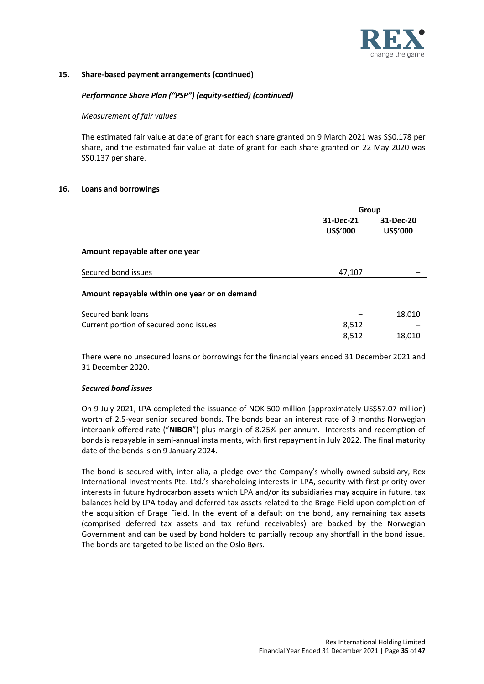

# **15. Share-based payment arrangements (continued)**

### *Performance Share Plan ("PSP") (equity-settled) (continued)*

#### *Measurement of fair values*

The estimated fair value at date of grant for each share granted on 9 March 2021 was S\$0.178 per share, and the estimated fair value at date of grant for each share granted on 22 May 2020 was S\$0.137 per share.

#### **16. Loans and borrowings**

|                                               | Group                 |                       |
|-----------------------------------------------|-----------------------|-----------------------|
|                                               | 31-Dec-21<br>US\$'000 | 31-Dec-20<br>US\$'000 |
| Amount repayable after one year               |                       |                       |
| Secured bond issues                           | 47,107                |                       |
| Amount repayable within one year or on demand |                       |                       |
| Secured bank loans                            |                       | 18,010                |
| Current portion of secured bond issues        | 8,512                 |                       |
|                                               | 8,512                 | 18,010                |
|                                               |                       |                       |

There were no unsecured loans or borrowings for the financial years ended 31 December 2021 and 31 December 2020.

#### *Secured bond issues*

On 9 July 2021, LPA completed the issuance of NOK 500 million (approximately US\$57.07 million) worth of 2.5-year senior secured bonds. The bonds bear an interest rate of 3 months Norwegian interbank offered rate ("**NIBOR**") plus margin of 8.25% per annum. Interests and redemption of bonds is repayable in semi-annual instalments, with first repayment in July 2022. The final maturity date of the bonds is on 9 January 2024.

The bond is secured with, inter alia, a pledge over the Company's wholly-owned subsidiary, Rex International Investments Pte. Ltd.'s shareholding interests in LPA, security with first priority over interests in future hydrocarbon assets which LPA and/or its subsidiaries may acquire in future, tax balances held by LPA today and deferred tax assets related to the Brage Field upon completion of the acquisition of Brage Field. In the event of a default on the bond, any remaining tax assets (comprised deferred tax assets and tax refund receivables) are backed by the Norwegian Government and can be used by bond holders to partially recoup any shortfall in the bond issue. The bonds are targeted to be listed on the Oslo Børs.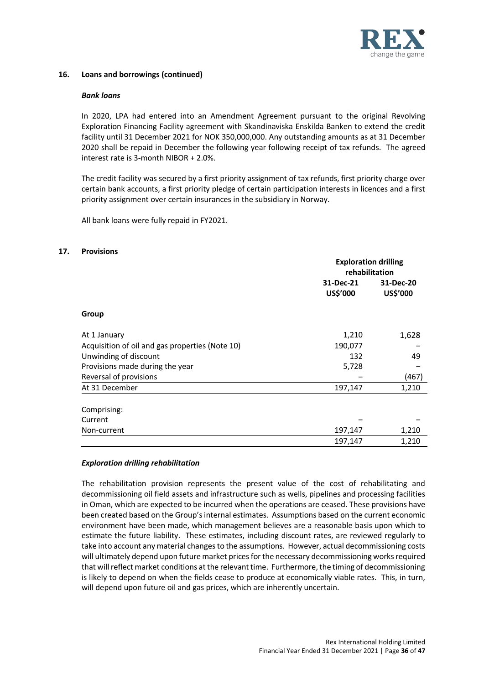

#### **16. Loans and borrowings (continued)**

#### *Bank loans*

In 2020, LPA had entered into an Amendment Agreement pursuant to the original Revolving Exploration Financing Facility agreement with Skandinaviska Enskilda Banken to extend the credit facility until 31 December 2021 for NOK 350,000,000. Any outstanding amounts as at 31 December 2020 shall be repaid in December the following year following receipt of tax refunds. The agreed interest rate is 3-month NIBOR + 2.0%.

The credit facility was secured by a first priority assignment of tax refunds, first priority charge over certain bank accounts, a first priority pledge of certain participation interests in licences and a first priority assignment over certain insurances in the subsidiary in Norway.

All bank loans were fully repaid in FY2021.

#### **17. Provisions**

|                                                 | <b>Exploration drilling</b><br>rehabilitation |           |
|-------------------------------------------------|-----------------------------------------------|-----------|
|                                                 | 31-Dec-21                                     | 31-Dec-20 |
|                                                 | US\$'000                                      | US\$'000  |
| Group                                           |                                               |           |
| At 1 January                                    | 1,210                                         | 1,628     |
| Acquisition of oil and gas properties (Note 10) | 190,077                                       |           |
| Unwinding of discount                           | 132                                           | 49        |
| Provisions made during the year                 | 5,728                                         |           |
| Reversal of provisions                          |                                               | (467)     |
| At 31 December                                  | 197,147                                       | 1,210     |
| Comprising:                                     |                                               |           |
| Current                                         |                                               |           |
| Non-current                                     | 197,147                                       | 1,210     |
|                                                 | 197,147                                       | 1,210     |

#### *Exploration drilling rehabilitation*

The rehabilitation provision represents the present value of the cost of rehabilitating and decommissioning oil field assets and infrastructure such as wells, pipelines and processing facilities in Oman, which are expected to be incurred when the operations are ceased. These provisions have been created based on the Group's internal estimates. Assumptions based on the current economic environment have been made, which management believes are a reasonable basis upon which to estimate the future liability. These estimates, including discount rates, are reviewed regularly to take into account any material changes to the assumptions. However, actual decommissioning costs will ultimately depend upon future market prices for the necessary decommissioning works required that will reflect market conditions at the relevant time. Furthermore, the timing of decommissioning is likely to depend on when the fields cease to produce at economically viable rates. This, in turn, will depend upon future oil and gas prices, which are inherently uncertain.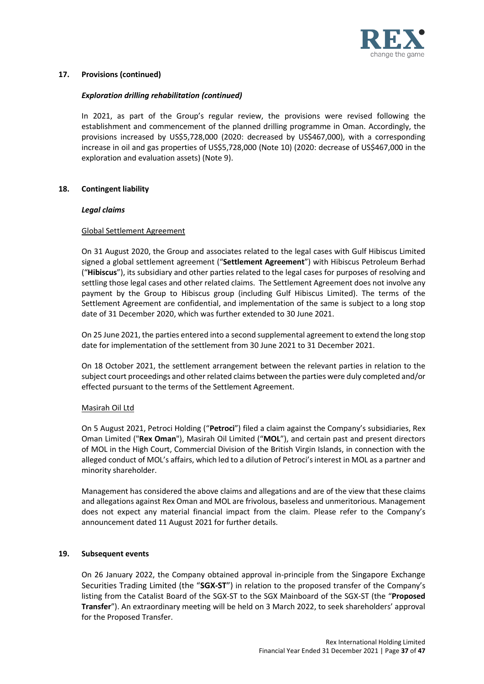

# **17. Provisions (continued)**

# *Exploration drilling rehabilitation (continued)*

In 2021, as part of the Group's regular review, the provisions were revised following the establishment and commencement of the planned drilling programme in Oman. Accordingly, the provisions increased by US\$5,728,000 (2020: decreased by US\$467,000), with a corresponding increase in oil and gas properties of US\$5,728,000 (Note 10) (2020: decrease of US\$467,000 in the exploration and evaluation assets) (Note 9).

#### **18. Contingent liability**

#### *Legal claims*

#### Global Settlement Agreement

On 31 August 2020, the Group and associates related to the legal cases with Gulf Hibiscus Limited signed a global settlement agreement ("**Settlement Agreement**") with Hibiscus Petroleum Berhad ("**Hibiscus**"), its subsidiary and other parties related to the legal cases for purposes of resolving and settling those legal cases and other related claims. The Settlement Agreement does not involve any payment by the Group to Hibiscus group (including Gulf Hibiscus Limited). The terms of the Settlement Agreement are confidential, and implementation of the same is subject to a long stop date of 31 December 2020, which was further extended to 30 June 2021.

On 25 June 2021, the parties entered into a second supplemental agreement to extend the long stop date for implementation of the settlement from 30 June 2021 to 31 December 2021.

On 18 October 2021, the settlement arrangement between the relevant parties in relation to the subject court proceedings and other related claims between the parties were duly completed and/or effected pursuant to the terms of the Settlement Agreement.

# Masirah Oil Ltd

On 5 August 2021, Petroci Holding ("**Petroci**") filed a claim against the Company's subsidiaries, Rex Oman Limited ("**Rex Oman**"), Masirah Oil Limited ("**MOL**"), and certain past and present directors of MOL in the High Court, Commercial Division of the British Virgin Islands, in connection with the alleged conduct of MOL's affairs, which led to a dilution of Petroci's interest in MOL as a partner and minority shareholder.

Management has considered the above claims and allegations and are of the view that these claims and allegations against Rex Oman and MOL are frivolous, baseless and unmeritorious. Management does not expect any material financial impact from the claim. Please refer to the Company's announcement dated 11 August 2021 for further details.

#### **19. Subsequent events**

On 26 January 2022, the Company obtained approval in-principle from the Singapore Exchange Securities Trading Limited (the "**SGX-ST**") in relation to the proposed transfer of the Company's listing from the Catalist Board of the SGX-ST to the SGX Mainboard of the SGX-ST (the "**Proposed Transfer**"). An extraordinary meeting will be held on 3 March 2022, to seek shareholders' approval for the Proposed Transfer.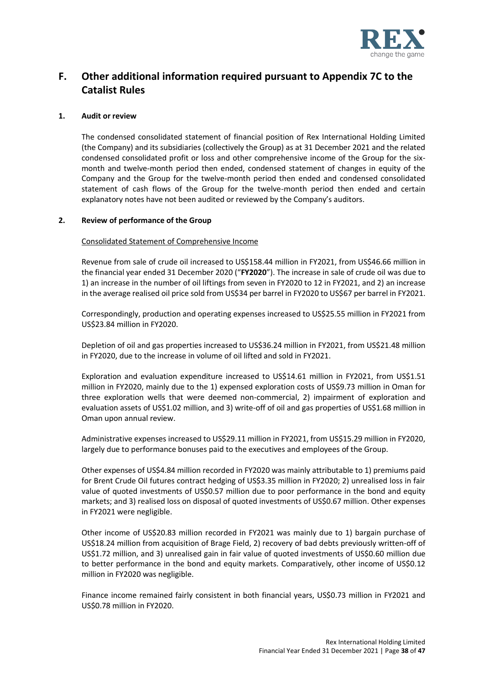

# **F. Other additional information required pursuant to Appendix 7C to the Catalist Rules**

### **1. Audit or review**

The condensed consolidated statement of financial position of Rex International Holding Limited (the Company) and its subsidiaries (collectively the Group) as at 31 December 2021 and the related condensed consolidated profit or loss and other comprehensive income of the Group for the sixmonth and twelve-month period then ended, condensed statement of changes in equity of the Company and the Group for the twelve-month period then ended and condensed consolidated statement of cash flows of the Group for the twelve-month period then ended and certain explanatory notes have not been audited or reviewed by the Company's auditors.

#### **2. Review of performance of the Group**

#### Consolidated Statement of Comprehensive Income

Revenue from sale of crude oil increased to US\$158.44 million in FY2021, from US\$46.66 million in the financial year ended 31 December 2020 ("**FY2020**"). The increase in sale of crude oil was due to 1) an increase in the number of oil liftings from seven in FY2020 to 12 in FY2021, and 2) an increase in the average realised oil price sold from US\$34 per barrel in FY2020 to US\$67 per barrel in FY2021.

Correspondingly, production and operating expenses increased to US\$25.55 million in FY2021 from US\$23.84 million in FY2020.

Depletion of oil and gas properties increased to US\$36.24 million in FY2021, from US\$21.48 million in FY2020, due to the increase in volume of oil lifted and sold in FY2021.

Exploration and evaluation expenditure increased to US\$14.61 million in FY2021, from US\$1.51 million in FY2020, mainly due to the 1) expensed exploration costs of US\$9.73 million in Oman for three exploration wells that were deemed non-commercial, 2) impairment of exploration and evaluation assets of US\$1.02 million, and 3) write-off of oil and gas properties of US\$1.68 million in Oman upon annual review.

Administrative expenses increased to US\$29.11 million in FY2021, from US\$15.29 million in FY2020, largely due to performance bonuses paid to the executives and employees of the Group.

Other expenses of US\$4.84 million recorded in FY2020 was mainly attributable to 1) premiums paid for Brent Crude Oil futures contract hedging of US\$3.35 million in FY2020; 2) unrealised loss in fair value of quoted investments of US\$0.57 million due to poor performance in the bond and equity markets; and 3) realised loss on disposal of quoted investments of US\$0.67 million. Other expenses in FY2021 were negligible.

Other income of US\$20.83 million recorded in FY2021 was mainly due to 1) bargain purchase of US\$18.24 million from acquisition of Brage Field, 2) recovery of bad debts previously written-off of US\$1.72 million, and 3) unrealised gain in fair value of quoted investments of US\$0.60 million due to better performance in the bond and equity markets. Comparatively, other income of US\$0.12 million in FY2020 was negligible.

Finance income remained fairly consistent in both financial years, US\$0.73 million in FY2021 and US\$0.78 million in FY2020.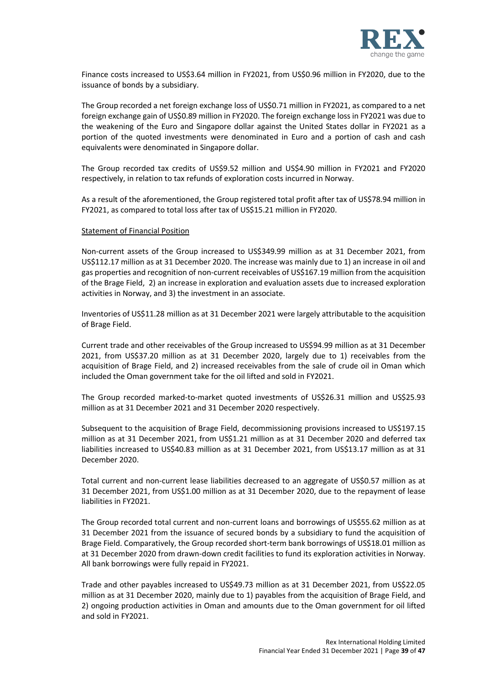

Finance costs increased to US\$3.64 million in FY2021, from US\$0.96 million in FY2020, due to the issuance of bonds by a subsidiary.

The Group recorded a net foreign exchange loss of US\$0.71 million in FY2021, as compared to a net foreign exchange gain of US\$0.89 million in FY2020. The foreign exchange loss in FY2021 was due to the weakening of the Euro and Singapore dollar against the United States dollar in FY2021 as a portion of the quoted investments were denominated in Euro and a portion of cash and cash equivalents were denominated in Singapore dollar.

The Group recorded tax credits of US\$9.52 million and US\$4.90 million in FY2021 and FY2020 respectively, in relation to tax refunds of exploration costs incurred in Norway.

As a result of the aforementioned, the Group registered total profit after tax of US\$78.94 million in FY2021, as compared to total loss after tax of US\$15.21 million in FY2020.

#### Statement of Financial Position

Non-current assets of the Group increased to US\$349.99 million as at 31 December 2021, from US\$112.17 million as at 31 December 2020. The increase was mainly due to 1) an increase in oil and gas properties and recognition of non-current receivables of US\$167.19 million from the acquisition of the Brage Field, 2) an increase in exploration and evaluation assets due to increased exploration activities in Norway, and 3) the investment in an associate.

Inventories of US\$11.28 million as at 31 December 2021 were largely attributable to the acquisition of Brage Field.

Current trade and other receivables of the Group increased to US\$94.99 million as at 31 December 2021, from US\$37.20 million as at 31 December 2020, largely due to 1) receivables from the acquisition of Brage Field, and 2) increased receivables from the sale of crude oil in Oman which included the Oman government take for the oil lifted and sold in FY2021.

The Group recorded marked-to-market quoted investments of US\$26.31 million and US\$25.93 million as at 31 December 2021 and 31 December 2020 respectively.

Subsequent to the acquisition of Brage Field, decommissioning provisions increased to US\$197.15 million as at 31 December 2021, from US\$1.21 million as at 31 December 2020 and deferred tax liabilities increased to US\$40.83 million as at 31 December 2021, from US\$13.17 million as at 31 December 2020.

Total current and non-current lease liabilities decreased to an aggregate of US\$0.57 million as at 31 December 2021, from US\$1.00 million as at 31 December 2020, due to the repayment of lease liabilities in FY2021.

The Group recorded total current and non-current loans and borrowings of US\$55.62 million as at 31 December 2021 from the issuance of secured bonds by a subsidiary to fund the acquisition of Brage Field. Comparatively, the Group recorded short-term bank borrowings of US\$18.01 million as at 31 December 2020 from drawn-down credit facilities to fund its exploration activities in Norway. All bank borrowings were fully repaid in FY2021.

Trade and other payables increased to US\$49.73 million as at 31 December 2021, from US\$22.05 million as at 31 December 2020, mainly due to 1) payables from the acquisition of Brage Field, and 2) ongoing production activities in Oman and amounts due to the Oman government for oil lifted and sold in FY2021.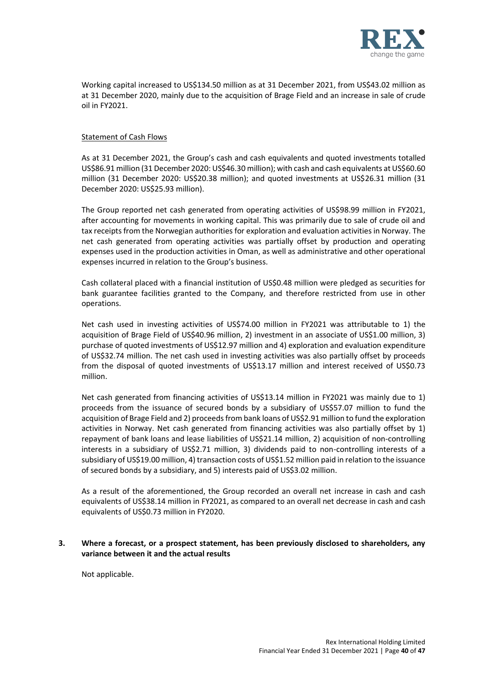

Working capital increased to US\$134.50 million as at 31 December 2021, from US\$43.02 million as at 31 December 2020, mainly due to the acquisition of Brage Field and an increase in sale of crude oil in FY2021.

### Statement of Cash Flows

As at 31 December 2021, the Group's cash and cash equivalents and quoted investments totalled US\$86.91 million (31 December 2020: US\$46.30 million); with cash and cash equivalents at US\$60.60 million (31 December 2020: US\$20.38 million); and quoted investments at US\$26.31 million (31 December 2020: US\$25.93 million).

The Group reported net cash generated from operating activities of US\$98.99 million in FY2021, after accounting for movements in working capital. This was primarily due to sale of crude oil and tax receipts from the Norwegian authorities for exploration and evaluation activities in Norway. The net cash generated from operating activities was partially offset by production and operating expenses used in the production activities in Oman, as well as administrative and other operational expenses incurred in relation to the Group's business.

Cash collateral placed with a financial institution of US\$0.48 million were pledged as securities for bank guarantee facilities granted to the Company, and therefore restricted from use in other operations.

Net cash used in investing activities of US\$74.00 million in FY2021 was attributable to 1) the acquisition of Brage Field of US\$40.96 million, 2) investment in an associate of US\$1.00 million, 3) purchase of quoted investments of US\$12.97 million and 4) exploration and evaluation expenditure of US\$32.74 million. The net cash used in investing activities was also partially offset by proceeds from the disposal of quoted investments of US\$13.17 million and interest received of US\$0.73 million.

Net cash generated from financing activities of US\$13.14 million in FY2021 was mainly due to 1) proceeds from the issuance of secured bonds by a subsidiary of US\$57.07 million to fund the acquisition of Brage Field and 2) proceeds from bank loans of US\$2.91 million to fund the exploration activities in Norway. Net cash generated from financing activities was also partially offset by 1) repayment of bank loans and lease liabilities of US\$21.14 million, 2) acquisition of non-controlling interests in a subsidiary of US\$2.71 million, 3) dividends paid to non-controlling interests of a subsidiary of US\$19.00 million, 4) transaction costs of US\$1.52 million paid in relation to the issuance of secured bonds by a subsidiary, and 5) interests paid of US\$3.02 million.

As a result of the aforementioned, the Group recorded an overall net increase in cash and cash equivalents of US\$38.14 million in FY2021, as compared to an overall net decrease in cash and cash equivalents of US\$0.73 million in FY2020.

#### **3. Where a forecast, or a prospect statement, has been previously disclosed to shareholders, any variance between it and the actual results**

Not applicable.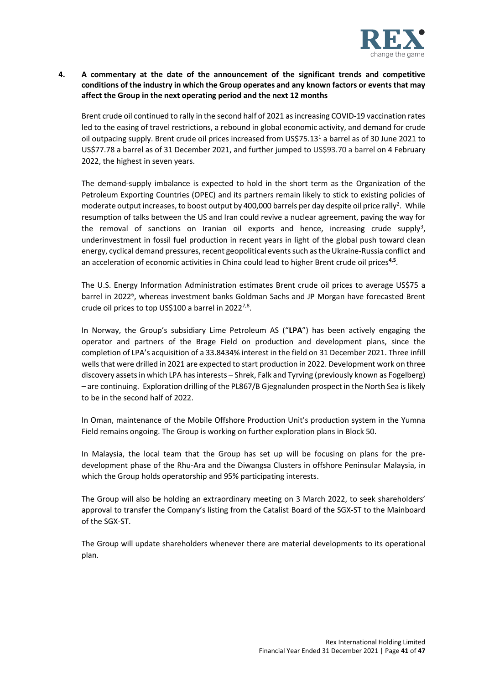

# **4. A commentary at the date of the announcement of the significant trends and competitive conditions of the industry in which the Group operates and any known factors or events that may affect the Group in the next operating period and the next 12 months**

Brent crude oil continued to rally in the second half of 2021 as increasing COVID-19 vaccination rates led to the easing of travel restrictions, a rebound in global economic activity, and demand for crude oil outpacing supply. Brent crude oil prices increased from US\$75.13<sup>1</sup> a barrel as of 30 June 2021 to US\$77.78 a barrel as of 31 December 2021, and further jumped to US\$93.70 a barrel on 4 February 2022, the highest in seven years.

The demand-supply imbalance is expected to hold in the short term as the Organization of the Petroleum Exporting Countries (OPEC) and its partners remain likely to stick to existing policies of moderate output increases, to boost output by 400,000 barrels per day despite oil price rally<sup>2</sup>. While resumption of talks between the US and Iran could revive a nuclear agreement, paving the way for the removal of sanctions on Iranian oil exports and hence, increasing crude supply<sup>3</sup>, underinvestment in fossil fuel production in recent years in light of the global push toward clean energy, cyclical demand pressures, recent geopolitical events such as the Ukraine-Russia conflict and an acceleration of economic activities in China could lead to higher Brent crude oil prices**4,5** .

The U.S. Energy Information Administration estimates Brent crude oil prices to average US\$75 a barrel in 2022<sup>6</sup>, whereas investment banks Goldman Sachs and JP Morgan have forecasted Brent crude oil prices to top US\$100 a barrel in 2022<sup>7,8</sup>.

In Norway, the Group's subsidiary Lime Petroleum AS ("**LPA**") has been actively engaging the operator and partners of the Brage Field on production and development plans, since the completion of LPA's acquisition of a 33.8434% interest in the field on 31 December 2021. Three infill wells that were drilled in 2021 are expected to start production in 2022. Development work on three discovery assets in which LPA has interests – Shrek, Falk and Tyrving (previously known as Fogelberg) – are continuing. Exploration drilling of the PL867/B Gjegnalunden prospect in the North Sea is likely to be in the second half of 2022.

In Oman, maintenance of the Mobile Offshore Production Unit's production system in the Yumna Field remains ongoing. The Group is working on further exploration plans in Block 50.

In Malaysia, the local team that the Group has set up will be focusing on plans for the predevelopment phase of the Rhu-Ara and the Diwangsa Clusters in offshore Peninsular Malaysia, in which the Group holds operatorship and 95% participating interests.

The Group will also be holding an extraordinary meeting on 3 March 2022, to seek shareholders' approval to transfer the Company's listing from the Catalist Board of the SGX-ST to the Mainboard of the SGX-ST.

The Group will update shareholders whenever there are material developments to its operational plan.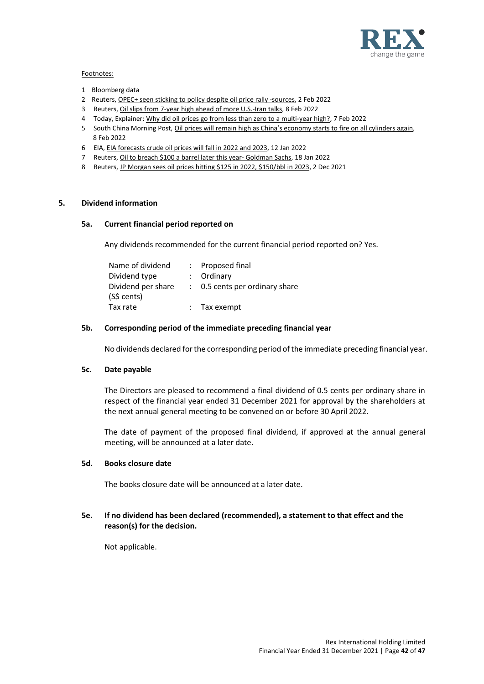

#### Footnotes:

- 1 Bloomberg data
- 2 Reuters[, OPEC+ seen sticking to policy despite oil](https://www.reuters.com/business/energy/opec-technical-committee-trims-2022-oil-surplus-forecast-2022-02-01/) price rally -sources, 2 Feb 2022
- 3 Reuters[, Oil slips from 7-year high ahead of more U.S.-Iran talks,](https://www.reuters.com/business/oil-slips-7-year-highs-ahead-more-us-iran-talks-2022-02-08/) 8 Feb 2022
- 4 Today, Explainer: [Why did oil prices go from less than zero to a multi-year high?,](https://www.todayonline.com/singapore/explainer-why-did-oil-prices-go-less-zero-multi-year-high-1812806?cid=braze-tdy_Today-Morning-Brief_newsletter_08022022_tdy%0A%0A) 7 Feb 2022
- 5 South China Morning Post, Oil prices will remain high [as China's economy starts to fire on all cylinders again](https://www.scmp.com/comment/opinion/article/3166132/oil-prices-will-remain-high-chinas-economy-starts-fire-all?utm_medium=email&utm_source=cm&utm_campaign=enlz-today_international&utm_content=20220208&tpcc=enlz-today_international&UUID=803905bb9ecf3ddcdff898f276b1abbf&next_article_id=3166075&article_id_list=3166195,3166185,3166173,3166241,3166229,3166228,3166250,3166238&tc=16&CMCampaignID=be114e41db87f88b47bb46cbb9567347), 8 Feb 2022
- 6 EIA[, EIA forecasts crude oil prices will fall in 2022 and 2023,](https://www.eia.gov/todayinenergy/detail.php?id=50858#:~:text=We%20forecast%20that%20the%20price,increases%20in%202022%20and%202023.) 12 Jan 2022
- 7 Reuters[, Oil to breach \\$100 a barrel later this year-](https://www.reuters.com/markets/asia/goldman-sachs-sees-brent-oil-hitting-100bbl-q3-2022-2022-01-18/) Goldman Sachs, 18 Jan 2022
- 8 Reuters[, JP Morgan sees oil prices hitting \\$125 in 2022, \\$150/bbl in 2023,](https://www.reuters.com/business/energy/jp-morgan-sees-oil-prices-hitting-125-2022-150bbl-2023-2021-12-02/) 2 Dec 2021

#### **5. Dividend information**

#### **5a. Current financial period reported on**

Any dividends recommended for the current financial period reported on? Yes.

| Name of dividend   | : Proposed final               |
|--------------------|--------------------------------|
| Dividend type      | : Ordinary                     |
| Dividend per share | : 0.5 cents per ordinary share |
| (S\$ cents)        |                                |
| Tax rate           | $:$ Tax exempt                 |

#### **5b. Corresponding period of the immediate preceding financial year**

No dividends declared for the corresponding period of the immediate preceding financial year.

#### **5c. Date payable**

The Directors are pleased to recommend a final dividend of 0.5 cents per ordinary share in respect of the financial year ended 31 December 2021 for approval by the shareholders at the next annual general meeting to be convened on or before 30 April 2022.

The date of payment of the proposed final dividend, if approved at the annual general meeting, will be announced at a later date.

#### **5d. Books closure date**

The books closure date will be announced at a later date.

# **5e. If no dividend has been declared (recommended), a statement to that effect and the reason(s) for the decision.**

Not applicable.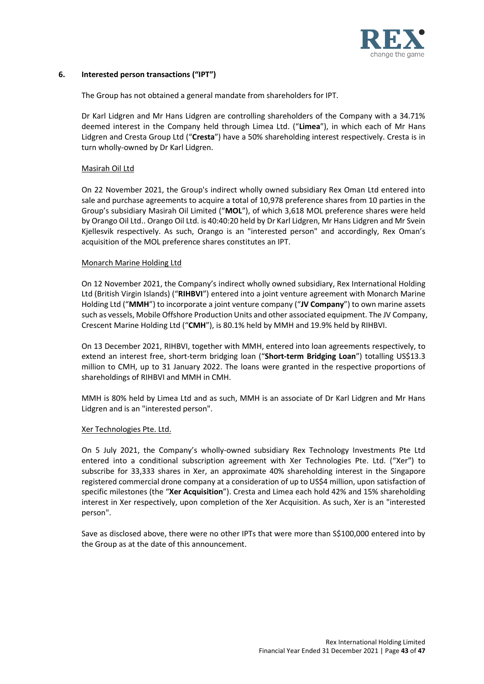

# **6. Interested person transactions ("IPT")**

The Group has not obtained a general mandate from shareholders for IPT.

Dr Karl Lidgren and Mr Hans Lidgren are controlling shareholders of the Company with a 34.71% deemed interest in the Company held through Limea Ltd. ("**Limea**"), in which each of Mr Hans Lidgren and Cresta Group Ltd ("**Cresta**") have a 50% shareholding interest respectively. Cresta is in turn wholly-owned by Dr Karl Lidgren.

### Masirah Oil Ltd

On 22 November 2021, the Group's indirect wholly owned subsidiary Rex Oman Ltd entered into sale and purchase agreements to acquire a total of 10,978 preference shares from 10 parties in the Group's subsidiary Masirah Oil Limited ("**MOL**"), of which 3,618 MOL preference shares were held by Orango Oil Ltd.. Orango Oil Ltd. is 40:40:20 held by Dr Karl Lidgren, Mr Hans Lidgren and Mr Svein Kjellesvik respectively. As such, Orango is an "interested person" and accordingly, Rex Oman's acquisition of the MOL preference shares constitutes an IPT.

#### Monarch Marine Holding Ltd

On 12 November 2021, the Company's indirect wholly owned subsidiary, Rex International Holding Ltd (British Virgin Islands) ("**RIHBVI**") entered into a joint venture agreement with Monarch Marine Holding Ltd ("**MMH**") to incorporate a joint venture company ("**JV Company**") to own marine assets such as vessels, Mobile Offshore Production Units and other associated equipment. The JV Company, Crescent Marine Holding Ltd ("**CMH**"), is 80.1% held by MMH and 19.9% held by RIHBVI.

On 13 December 2021, RIHBVI, together with MMH, entered into loan agreements respectively, to extend an interest free, short-term bridging loan ("**Short-term Bridging Loan**") totalling US\$13.3 million to CMH, up to 31 January 2022. The loans were granted in the respective proportions of shareholdings of RIHBVI and MMH in CMH.

MMH is 80% held by Limea Ltd and as such, MMH is an associate of Dr Karl Lidgren and Mr Hans Lidgren and is an "interested person".

#### Xer Technologies Pte. Ltd.

On 5 July 2021, the Company's wholly-owned subsidiary Rex Technology Investments Pte Ltd entered into a conditional subscription agreement with Xer Technologies Pte. Ltd. ("Xer") to subscribe for 33,333 shares in Xer, an approximate 40% shareholding interest in the Singapore registered commercial drone company at a consideration of up to US\$4 million, upon satisfaction of specific milestones (the "**Xer Acquisition**"). Cresta and Limea each hold 42% and 15% shareholding interest in Xer respectively, upon completion of the Xer Acquisition. As such, Xer is an "interested person".

Save as disclosed above, there were no other IPTs that were more than S\$100,000 entered into by the Group as at the date of this announcement.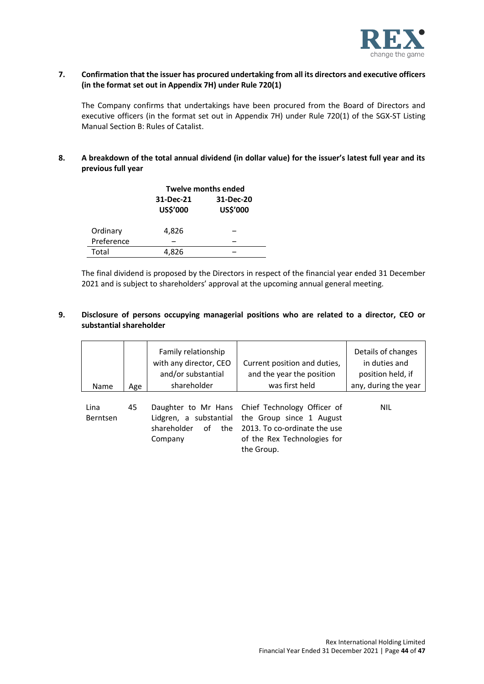

### **7. Confirmation that the issuer has procured undertaking from all its directors and executive officers (in the format set out in Appendix 7H) under Rule 720(1)**

The Company confirms that undertakings have been procured from the Board of Directors and executive officers (in the format set out in Appendix 7H) under Rule 720(1) of the SGX-ST Listing Manual Section B: Rules of Catalist.

# **8. A breakdown of the total annual dividend (in dollar value) for the issuer's latest full year and its previous full year**

|            | <b>Twelve months ended</b> |                       |  |
|------------|----------------------------|-----------------------|--|
|            | 31-Dec-21<br>US\$'000      | 31-Dec-20<br>US\$'000 |  |
| Ordinary   | 4,826                      |                       |  |
| Preference |                            |                       |  |
| Total      | 4.826                      |                       |  |

The final dividend is proposed by the Directors in respect of the financial year ended 31 December 2021 and is subject to shareholders' approval at the upcoming annual general meeting.

# **9. Disclosure of persons occupying managerial positions who are related to a director, CEO or substantial shareholder**

| Name                    | Age | Family relationship<br>with any director, CEO<br>and/or substantial<br>shareholder   | Current position and duties,<br>and the year the position<br>was first held                                                          | Details of changes<br>in duties and<br>position held, if<br>any, during the year |
|-------------------------|-----|--------------------------------------------------------------------------------------|--------------------------------------------------------------------------------------------------------------------------------------|----------------------------------------------------------------------------------|
| Lina<br><b>Berntsen</b> | 45  | Daughter to Mr Hans<br>Lidgren, a substantial<br>shareholder<br>οf<br>the<br>Company | Chief Technology Officer of<br>the Group since 1 August<br>2013. To co-ordinate the use<br>of the Rex Technologies for<br>the Group. | <b>NIL</b>                                                                       |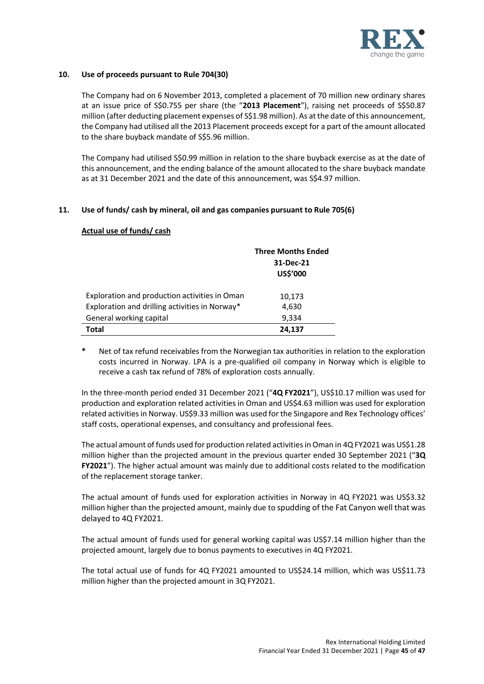

### **10. Use of proceeds pursuant to Rule 704(30)**

The Company had on 6 November 2013, completed a placement of 70 million new ordinary shares at an issue price of S\$0.755 per share (the "**2013 Placement**"), raising net proceeds of S\$50.87 million (after deducting placement expenses of S\$1.98 million). As at the date of this announcement, the Company had utilised all the 2013 Placement proceeds except for a part of the amount allocated to the share buyback mandate of S\$5.96 million.

The Company had utilised S\$0.99 million in relation to the share buyback exercise as at the date of this announcement, and the ending balance of the amount allocated to the share buyback mandate as at 31 December 2021 and the date of this announcement, was S\$4.97 million.

# **11. Use of funds/ cash by mineral, oil and gas companies pursuant to Rule 705(6)**

# **Actual use of funds/ cash**

|                                                | <b>Three Months Ended</b><br>31-Dec-21<br>US\$'000 |
|------------------------------------------------|----------------------------------------------------|
| Exploration and production activities in Oman  | 10,173                                             |
| Exploration and drilling activities in Norway* | 4,630                                              |
| General working capital                        | 9,334                                              |
| <b>Total</b>                                   | 24,137                                             |

**\*** Net of tax refund receivables from the Norwegian tax authorities in relation to the exploration costs incurred in Norway. LPA is a pre-qualified oil company in Norway which is eligible to receive a cash tax refund of 78% of exploration costs annually.

In the three-month period ended 31 December 2021 ("**4Q FY2021**"), US\$10.17 million was used for production and exploration related activities in Oman and US\$4.63 million was used for exploration related activities in Norway. US\$9.33 million was used for the Singapore and Rex Technology offices' staff costs, operational expenses, and consultancy and professional fees.

The actual amount of funds used for production related activities in Oman in 4Q FY2021 was US\$1.28 million higher than the projected amount in the previous quarter ended 30 September 2021 ("**3Q FY2021**"). The higher actual amount was mainly due to additional costs related to the modification of the replacement storage tanker.

The actual amount of funds used for exploration activities in Norway in 4Q FY2021 was US\$3.32 million higher than the projected amount, mainly due to spudding of the Fat Canyon well that was delayed to 4Q FY2021.

The actual amount of funds used for general working capital was US\$7.14 million higher than the projected amount, largely due to bonus payments to executives in 4Q FY2021.

The total actual use of funds for 4Q FY2021 amounted to US\$24.14 million, which was US\$11.73 million higher than the projected amount in 3Q FY2021.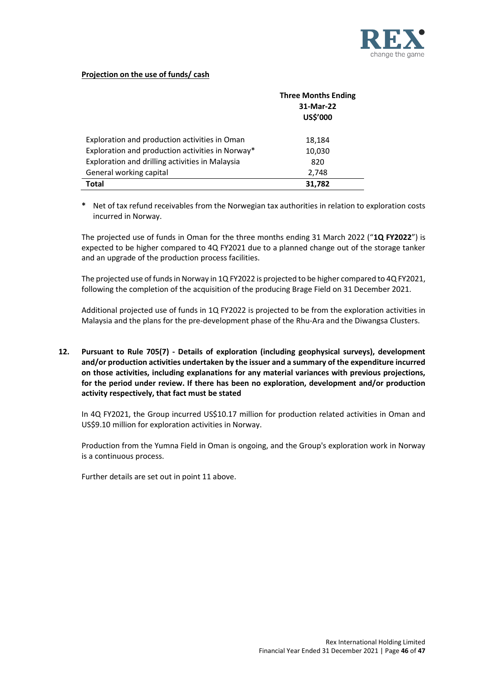

# **Projection on the use of funds/ cash**

|                                                  | <b>Three Months Ending</b><br>31-Mar-22<br>US\$'000 |
|--------------------------------------------------|-----------------------------------------------------|
| Exploration and production activities in Oman    | 18,184                                              |
| Exploration and production activities in Norway* | 10,030                                              |
| Exploration and drilling activities in Malaysia  | 820                                                 |
| General working capital                          | 2,748                                               |
| Total                                            | 31,782                                              |

**\*** Net of tax refund receivables from the Norwegian tax authorities in relation to exploration costs incurred in Norway.

The projected use of funds in Oman for the three months ending 31 March 2022 ("**1Q FY2022**") is expected to be higher compared to 4Q FY2021 due to a planned change out of the storage tanker and an upgrade of the production process facilities.

The projected use of funds in Norway in 1Q FY2022 is projected to be higher compared to 4Q FY2021, following the completion of the acquisition of the producing Brage Field on 31 December 2021.

Additional projected use of funds in 1Q FY2022 is projected to be from the exploration activities in Malaysia and the plans for the pre-development phase of the Rhu-Ara and the Diwangsa Clusters.

**12. Pursuant to Rule 705(7) - Details of exploration (including geophysical surveys), development and/or production activities undertaken by the issuer and a summary of the expenditure incurred on those activities, including explanations for any material variances with previous projections, for the period under review. If there has been no exploration, development and/or production activity respectively, that fact must be stated**

In 4Q FY2021, the Group incurred US\$10.17 million for production related activities in Oman and US\$9.10 million for exploration activities in Norway.

Production from the Yumna Field in Oman is ongoing, and the Group's exploration work in Norway is a continuous process.

Further details are set out in point 11 above.